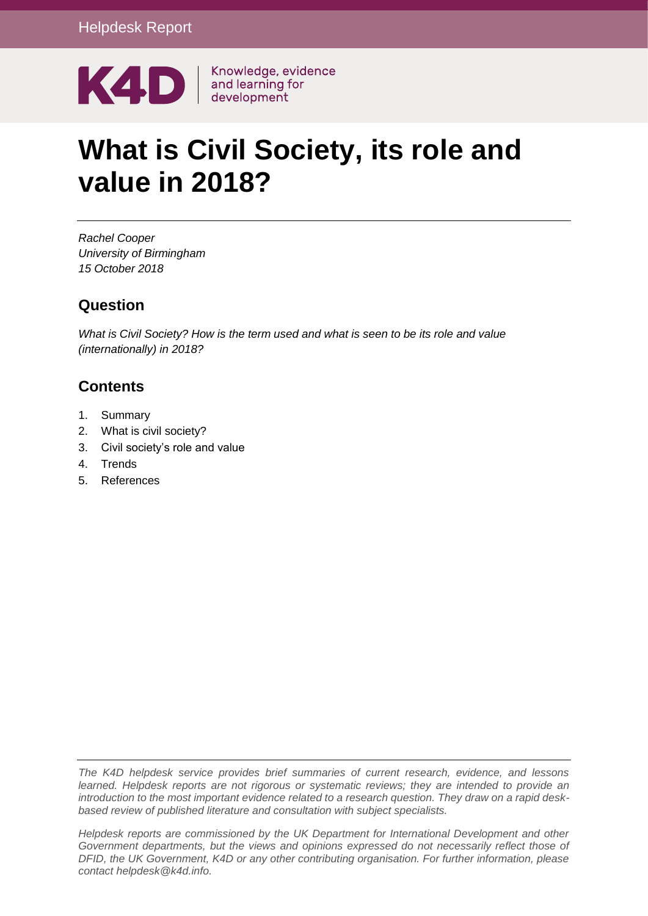

# **What is Civil Society, its role and value in 2018?**

*Rachel Cooper University of Birmingham 15 October 2018*

### **Question**

*What is Civil Society? How is the term used and what is seen to be its role and value (internationally) in 2018?*

### **Contents**

- 1. [Summary](#page-1-0)
- 2. [What is civil society?](#page-3-0)
- 3. [Civil society's role and value](#page-8-0)
- 4. [Trends](#page-15-0)
- 5. [References](#page-21-0)

*The K4D helpdesk service provides brief summaries of current research, evidence, and lessons learned. Helpdesk reports are not rigorous or systematic reviews; they are intended to provide an introduction to the most important evidence related to a research question. They draw on a rapid deskbased review of published literature and consultation with subject specialists.* 

*Helpdesk reports are commissioned by the UK Department for International Development and other Government departments, but the views and opinions expressed do not necessarily reflect those of DFID, the UK Government, K4D or any other contributing organisation. For further information, please contact helpdesk@k4d.info.*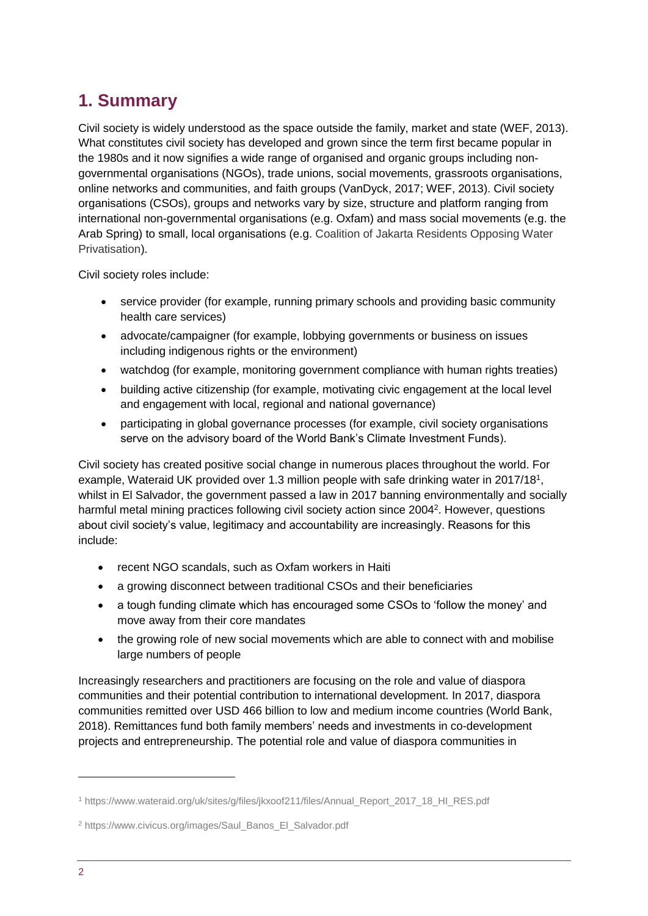# <span id="page-1-0"></span>**1. Summary**

Civil society is widely understood as the space outside the family, market and state (WEF, 2013). What constitutes civil society has developed and grown since the term first became popular in the 1980s and it now signifies a wide range of organised and organic groups including nongovernmental organisations (NGOs), trade unions, social movements, grassroots organisations, online networks and communities, and faith groups (VanDyck, 2017; WEF, 2013). Civil society organisations (CSOs), groups and networks vary by size, structure and platform ranging from international non-governmental organisations (e.g. Oxfam) and mass social movements (e.g. the Arab Spring) to small, local organisations (e.g. Coalition of Jakarta Residents Opposing Water Privatisation).

Civil society roles include:

- service provider (for example, running primary schools and providing basic community health care services)
- advocate/campaigner (for example, lobbying governments or business on issues including indigenous rights or the environment)
- watchdog (for example, monitoring government compliance with human rights treaties)
- building active citizenship (for example, motivating civic engagement at the local level and engagement with local, regional and national governance)
- participating in global governance processes (for example, civil society organisations serve on the advisory board of the World Bank's Climate Investment Funds).

Civil society has created positive social change in numerous places throughout the world. For example, Wateraid UK provided over 1.3 million people with safe drinking water in 2017/18<sup>1</sup>, whilst in El Salvador, the government passed a law in 2017 banning environmentally and socially harmful metal mining practices following civil society action since 2004<sup>2</sup>. However, questions about civil society's value, legitimacy and accountability are increasingly. Reasons for this include:

- recent NGO scandals, such as Oxfam workers in Haiti
- a growing disconnect between traditional CSOs and their beneficiaries
- a tough funding climate which has encouraged some CSOs to 'follow the money' and move away from their core mandates
- the growing role of new social movements which are able to connect with and mobilise large numbers of people

Increasingly researchers and practitioners are focusing on the role and value of diaspora communities and their potential contribution to international development. In 2017, diaspora communities remitted over USD 466 billion to low and medium income countries (World Bank, 2018). Remittances fund both family members' needs and investments in co-development projects and entrepreneurship. The potential role and value of diaspora communities in

<sup>1</sup> https://www.wateraid.org/uk/sites/g/files/jkxoof211/files/Annual\_Report\_2017\_18\_HI\_RES.pdf

<sup>2</sup> https://www.civicus.org/images/Saul\_Banos\_El\_Salvador.pdf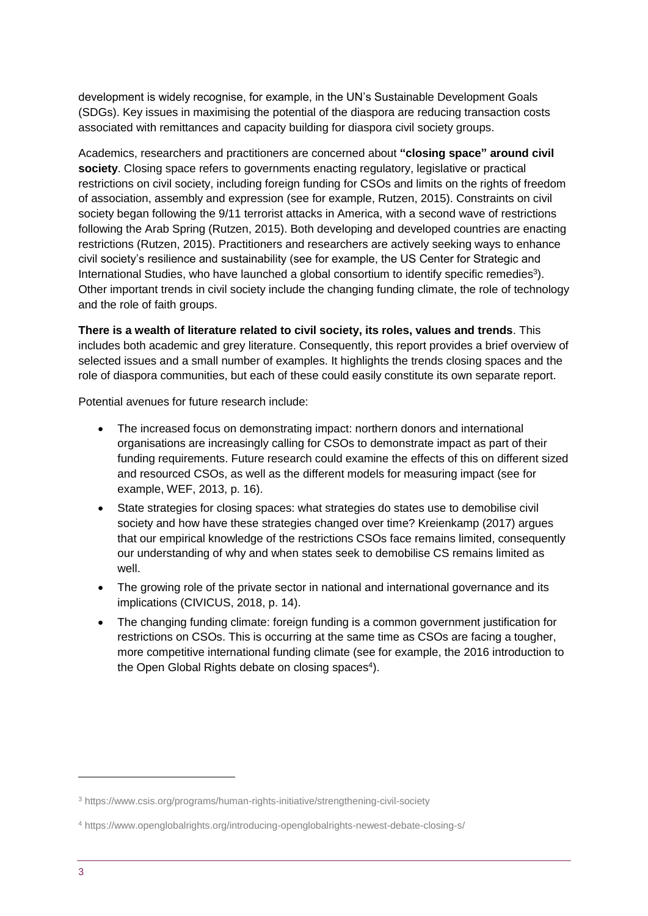development is widely recognise, for example, in the UN's Sustainable Development Goals (SDGs). Key issues in maximising the potential of the diaspora are reducing transaction costs associated with remittances and capacity building for diaspora civil society groups.

Academics, researchers and practitioners are concerned about **"closing space" around civil society**. Closing space refers to governments enacting regulatory, legislative or practical restrictions on civil society, including foreign funding for CSOs and limits on the rights of freedom of association, assembly and expression (see for example, Rutzen, 2015). Constraints on civil society began following the 9/11 terrorist attacks in America, with a second wave of restrictions following the Arab Spring (Rutzen, 2015). Both developing and developed countries are enacting restrictions (Rutzen, 2015). Practitioners and researchers are actively seeking ways to enhance civil society's resilience and sustainability (see for example, the US Center for Strategic and International Studies, who have launched a global consortium to identify specific remedies<sup>3</sup>). Other important trends in civil society include the changing funding climate, the role of technology and the role of faith groups.

**There is a wealth of literature related to civil society, its roles, values and trends**. This includes both academic and grey literature. Consequently, this report provides a brief overview of selected issues and a small number of examples. It highlights the trends closing spaces and the role of diaspora communities, but each of these could easily constitute its own separate report.

Potential avenues for future research include:

- The increased focus on demonstrating impact: northern donors and international organisations are increasingly calling for CSOs to demonstrate impact as part of their funding requirements. Future research could examine the effects of this on different sized and resourced CSOs, as well as the different models for measuring impact (see for example, WEF, 2013, p. 16).
- State strategies for closing spaces: what strategies do states use to demobilise civil society and how have these strategies changed over time? Kreienkamp (2017) argues that our empirical knowledge of the restrictions CSOs face remains limited, consequently our understanding of why and when states seek to demobilise CS remains limited as well.
- The growing role of the private sector in national and international governance and its implications (CIVICUS, 2018, p. 14).
- The changing funding climate: foreign funding is a common government justification for restrictions on CSOs. This is occurring at the same time as CSOs are facing a tougher, more competitive international funding climate (see for example, the 2016 introduction to the Open Global Rights debate on closing spaces<sup>4</sup>).

<sup>3</sup> https://www.csis.org/programs/human-rights-initiative/strengthening-civil-society

<sup>4</sup> https://www.openglobalrights.org/introducing-openglobalrights-newest-debate-closing-s/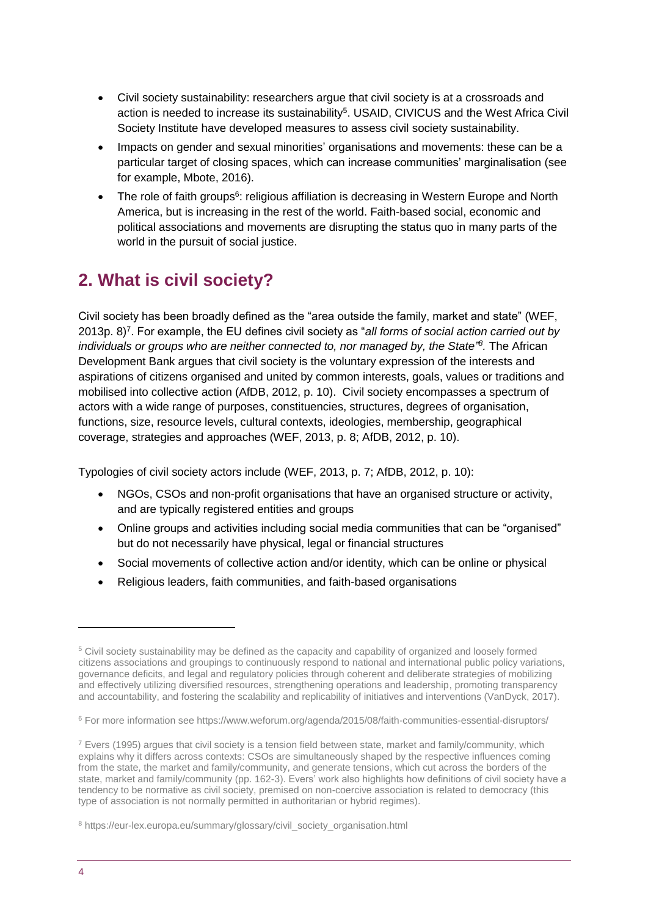- Civil society sustainability: researchers argue that civil society is at a crossroads and action is needed to increase its sustainability<sup>5</sup>. USAID, CIVICUS and the West Africa Civil Society Institute have developed measures to assess civil society sustainability.
- Impacts on gender and sexual minorities' organisations and movements: these can be a particular target of closing spaces, which can increase communities' marginalisation (see for example, Mbote, 2016).
- The role of faith groups<sup>6</sup>: religious affiliation is decreasing in Western Europe and North America, but is increasing in the rest of the world. Faith-based social, economic and political associations and movements are disrupting the status quo in many parts of the world in the pursuit of social justice.

# <span id="page-3-0"></span>**2. What is civil society?**

Civil society has been broadly defined as the "area outside the family, market and state" (WEF, 2013p. 8)<sup>7</sup>. For example, the EU defines civil society as "all forms of social action carried out by individuals or groups who are neither connected to, nor managed by, the State<sup>78</sup>. The African Development Bank argues that civil society is the voluntary expression of the interests and aspirations of citizens organised and united by common interests, goals, values or traditions and mobilised into collective action (AfDB, 2012, p. 10). Civil society encompasses a spectrum of actors with a wide range of purposes, constituencies, structures, degrees of organisation, functions, size, resource levels, cultural contexts, ideologies, membership, geographical coverage, strategies and approaches (WEF, 2013, p. 8; AfDB, 2012, p. 10).

Typologies of civil society actors include (WEF, 2013, p. 7; AfDB, 2012, p. 10):

- NGOs, CSOs and non-profit organisations that have an organised structure or activity, and are typically registered entities and groups
- Online groups and activities including social media communities that can be "organised" but do not necessarily have physical, legal or financial structures
- Social movements of collective action and/or identity, which can be online or physical
- Religious leaders, faith communities, and faith-based organisations

<sup>5</sup> Civil society sustainability may be defined as the capacity and capability of organized and loosely formed citizens associations and groupings to continuously respond to national and international public policy variations, governance deficits, and legal and regulatory policies through coherent and deliberate strategies of mobilizing and effectively utilizing diversified resources, strengthening operations and leadership, promoting transparency and accountability, and fostering the scalability and replicability of initiatives and interventions (VanDyck, 2017).

<sup>6</sup> For more information see https://www.weforum.org/agenda/2015/08/faith-communities-essential-disruptors/

<sup>7</sup> Evers (1995) argues that civil society is a tension field between state, market and family/community, which explains why it differs across contexts: CSOs are simultaneously shaped by the respective influences coming from the state, the market and family/community, and generate tensions, which cut across the borders of the state, market and family/community (pp. 162-3). Evers' work also highlights how definitions of civil society have a tendency to be normative as civil society, premised on non-coercive association is related to democracy (this type of association is not normally permitted in authoritarian or hybrid regimes).

<sup>8</sup> https://eur-lex.europa.eu/summary/glossary/civil\_society\_organisation.html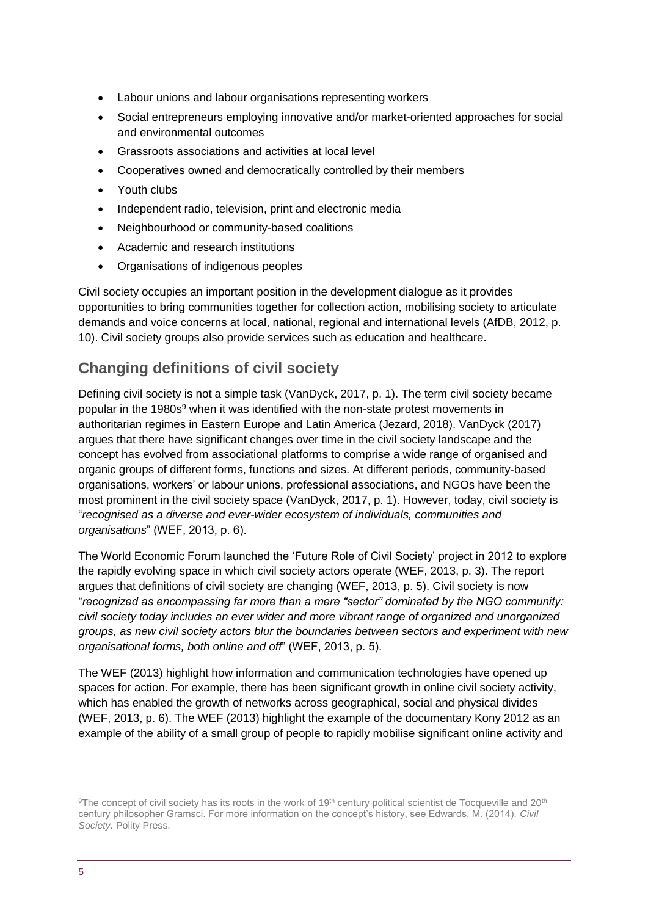- Labour unions and labour organisations representing workers
- Social entrepreneurs employing innovative and/or market-oriented approaches for social and environmental outcomes
- Grassroots associations and activities at local level
- Cooperatives owned and democratically controlled by their members
- Youth clubs
- Independent radio, television, print and electronic media
- Neighbourhood or community-based coalitions
- Academic and research institutions
- Organisations of indigenous peoples

Civil society occupies an important position in the development dialogue as it provides opportunities to bring communities together for collection action, mobilising society to articulate demands and voice concerns at local, national, regional and international levels (AfDB, 2012, p. 10). Civil society groups also provide services such as education and healthcare.

### **Changing definitions of civil society**

Defining civil society is not a simple task (VanDyck, 2017, p. 1). The term civil society became popular in the 1980s<sup>9</sup> when it was identified with the non-state protest movements in authoritarian regimes in Eastern Europe and Latin America (Jezard, 2018). VanDyck (2017) argues that there have significant changes over time in the civil society landscape and the concept has evolved from associational platforms to comprise a wide range of organised and organic groups of different forms, functions and sizes. At different periods, community-based organisations, workers' or labour unions, professional associations, and NGOs have been the most prominent in the civil society space (VanDyck, 2017, p. 1). However, today, civil society is "*recognised as a diverse and ever-wider ecosystem of individuals, communities and organisations*" (WEF, 2013, p. 6).

The World Economic Forum launched the 'Future Role of Civil Society' project in 2012 to explore the rapidly evolving space in which civil society actors operate (WEF, 2013, p. 3). The report argues that definitions of civil society are changing (WEF, 2013, p. 5). Civil society is now "*recognized as encompassing far more than a mere "sector" dominated by the NGO community: civil society today includes an ever wider and more vibrant range of organized and unorganized groups, as new civil society actors blur the boundaries between sectors and experiment with new organisational forms, both online and off*" (WEF, 2013, p. 5).

The WEF (2013) highlight how information and communication technologies have opened up spaces for action. For example, there has been significant growth in online civil society activity, which has enabled the growth of networks across geographical, social and physical divides (WEF, 2013, p. 6). The WEF (2013) highlight the example of the documentary Kony 2012 as an example of the ability of a small group of people to rapidly mobilise significant online activity and

<sup>&</sup>lt;sup>9</sup>The concept of civil society has its roots in the work of 19<sup>th</sup> century political scientist de Tocqueville and 20<sup>th</sup> century philosopher Gramsci. For more information on the concept's history, see Edwards, M. (2014). *Civil Society.* Polity Press.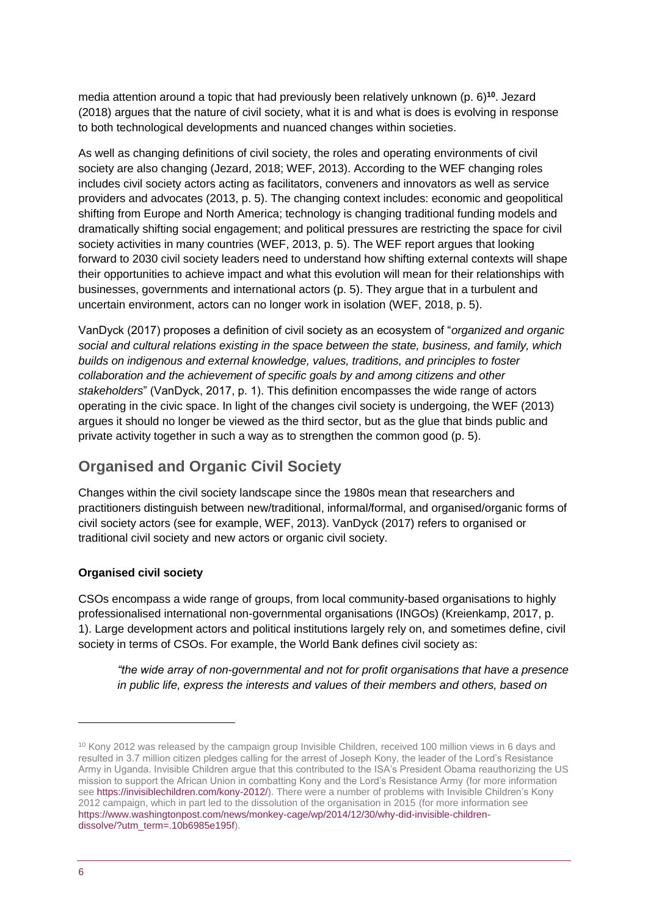media attention around a topic that had previously been relatively unknown (p. 6)**<sup>10</sup>**. Jezard (2018) argues that the nature of civil society, what it is and what is does is evolving in response to both technological developments and nuanced changes within societies.

As well as changing definitions of civil society, the roles and operating environments of civil society are also changing (Jezard, 2018; WEF, 2013). According to the WEF changing roles includes civil society actors acting as facilitators, conveners and innovators as well as service providers and advocates (2013, p. 5). The changing context includes: economic and geopolitical shifting from Europe and North America; technology is changing traditional funding models and dramatically shifting social engagement; and political pressures are restricting the space for civil society activities in many countries (WEF, 2013, p. 5). The WEF report argues that looking forward to 2030 civil society leaders need to understand how shifting external contexts will shape their opportunities to achieve impact and what this evolution will mean for their relationships with businesses, governments and international actors (p. 5). They argue that in a turbulent and uncertain environment, actors can no longer work in isolation (WEF, 2018, p. 5).

VanDyck (2017) proposes a definition of civil society as an ecosystem of "*organized and organic social and cultural relations existing in the space between the state, business, and family, which builds on indigenous and external knowledge, values, traditions, and principles to foster collaboration and the achievement of specific goals by and among citizens and other stakeholders*" (VanDyck, 2017, p. 1). This definition encompasses the wide range of actors operating in the civic space. In light of the changes civil society is undergoing, the WEF (2013) argues it should no longer be viewed as the third sector, but as the glue that binds public and private activity together in such a way as to strengthen the common good (p. 5).

### **Organised and Organic Civil Society**

Changes within the civil society landscape since the 1980s mean that researchers and practitioners distinguish between new/traditional, informal/formal, and organised/organic forms of civil society actors (see for example, WEF, 2013). VanDyck (2017) refers to organised or traditional civil society and new actors or organic civil society.

#### **Organised civil society**

CSOs encompass a wide range of groups, from local community-based organisations to highly professionalised international non-governmental organisations (INGOs) (Kreienkamp, 2017, p. 1). Large development actors and political institutions largely rely on, and sometimes define, civil society in terms of CSOs. For example, the World Bank defines civil society as:

*"the wide array of non-governmental and not for profit organisations that have a presence in public life, express the interests and values of their members and others, based on* 

<sup>10</sup> Kony 2012 was released by the campaign group Invisible Children, received 100 million views in 6 days and resulted in 3.7 million citizen pledges calling for the arrest of Joseph Kony, the leader of the Lord's Resistance Army in Uganda. Invisible Children argue that this contributed to the ISA's President Obama reauthorizing the US mission to support the African Union in combatting Kony and the Lord's Resistance Army (for more information see [https://invisiblechildren.com/kony-2012/\)](https://invisiblechildren.com/kony-2012/). There were a number of problems with Invisible Children's Kony 2012 campaign, which in part led to the dissolution of the organisation in 2015 (for more information see [https://www.washingtonpost.com/news/monkey-cage/wp/2014/12/30/why-did-invisible-children](https://www.washingtonpost.com/news/monkey-cage/wp/2014/12/30/why-did-invisible-children-dissolve/?utm_term=.10b6985e195f)[dissolve/?utm\\_term=.10b6985e195f\)](https://www.washingtonpost.com/news/monkey-cage/wp/2014/12/30/why-did-invisible-children-dissolve/?utm_term=.10b6985e195f).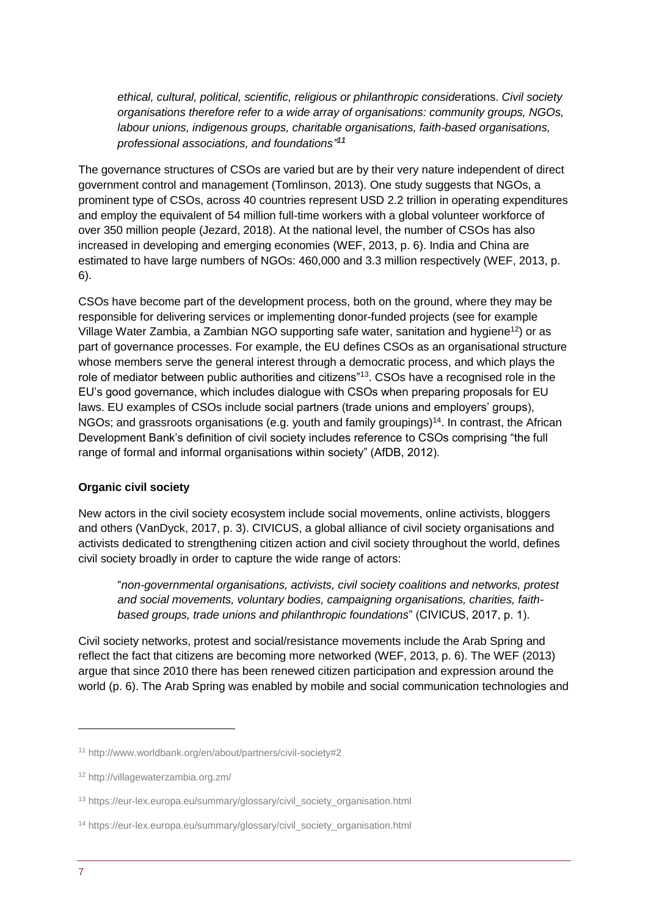*ethical, cultural, political, scientific, religious or philanthropic conside*rations. *Civil society organisations therefore refer to a wide array of organisations: community groups, NGOs, labour unions, indigenous groups, charitable organisations, faith-based organisations, professional associations, and foundations" 11*

The governance structures of CSOs are varied but are by their very nature independent of direct government control and management (Tomlinson, 2013). One study suggests that NGOs, a prominent type of CSOs, across 40 countries represent USD 2.2 trillion in operating expenditures and employ the equivalent of 54 million full-time workers with a global volunteer workforce of over 350 million people (Jezard, 2018). At the national level, the number of CSOs has also increased in developing and emerging economies (WEF, 2013, p. 6). India and China are estimated to have large numbers of NGOs: 460,000 and 3.3 million respectively (WEF, 2013, p. 6).

CSOs have become part of the development process, both on the ground, where they may be responsible for delivering services or implementing donor-funded projects (see for example Village Water Zambia, a Zambian NGO supporting safe water, sanitation and hygiene<sup>12</sup>) or as part of governance processes. For example, the EU defines CSOs as an organisational structure whose members serve the general interest through a democratic process, and which plays the role of mediator between public authorities and citizens"<sup>13</sup>. CSOs have a recognised role in the EU's good governance, which includes dialogue with CSOs when preparing proposals for EU laws. EU examples of CSOs include social partners (trade unions and employers' groups), NGOs; and grassroots organisations (e.g. youth and family groupings)<sup>14</sup>. In contrast, the African Development Bank's definition of civil society includes reference to CSOs comprising "the full range of formal and informal organisations within society" (AfDB, 2012).

#### **Organic civil society**

New actors in the civil society ecosystem include social movements, online activists, bloggers and others (VanDyck, 2017, p. 3). CIVICUS, a global alliance of civil society organisations and activists dedicated to strengthening citizen action and civil society throughout the world, defines civil society broadly in order to capture the wide range of actors:

"*non-governmental organisations, activists, civil society coalitions and networks, protest and social movements, voluntary bodies, campaigning organisations, charities, faithbased groups, trade unions and philanthropic foundations*" (CIVICUS, 2017, p. 1).

Civil society networks, protest and social/resistance movements include the Arab Spring and reflect the fact that citizens are becoming more networked (WEF, 2013, p. 6). The WEF (2013) argue that since 2010 there has been renewed citizen participation and expression around the world (p. 6). The Arab Spring was enabled by mobile and social communication technologies and

<sup>11</sup> http://www.worldbank.org/en/about/partners/civil-society#2

<sup>12</sup> http://villagewaterzambia.org.zm/

<sup>13</sup> https://eur-lex.europa.eu/summary/glossary/civil\_society\_organisation.html

<sup>14</sup> https://eur-lex.europa.eu/summary/glossary/civil\_society\_organisation.html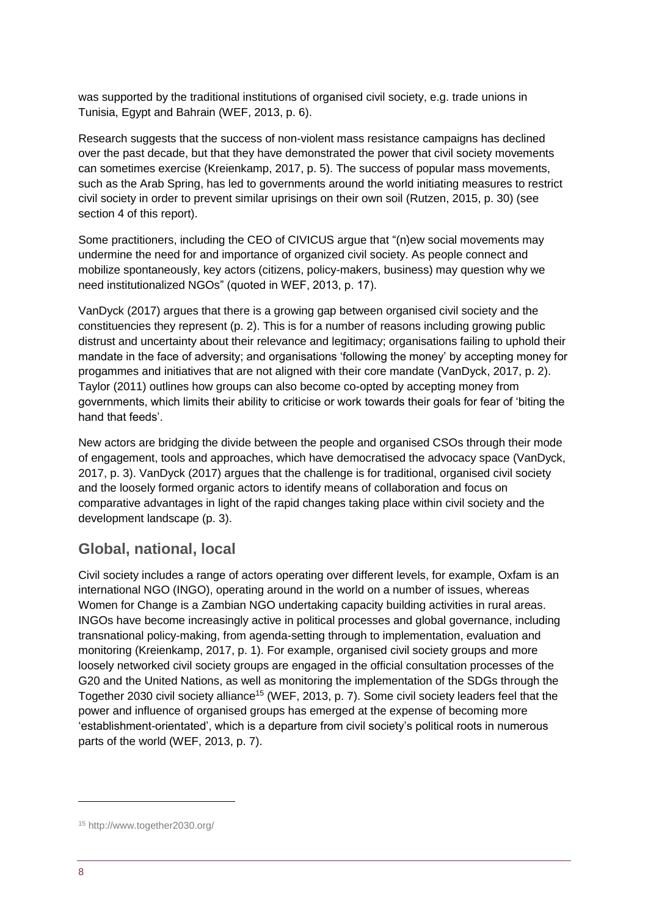was supported by the traditional institutions of organised civil society, e.g. trade unions in Tunisia, Egypt and Bahrain (WEF, 2013, p. 6).

Research suggests that the success of non-violent mass resistance campaigns has declined over the past decade, but that they have demonstrated the power that civil society movements can sometimes exercise (Kreienkamp, 2017, p. 5). The success of popular mass movements, such as the Arab Spring, has led to governments around the world initiating measures to restrict civil society in order to prevent similar uprisings on their own soil (Rutzen, 2015, p. 30) (see section 4 of this report).

Some practitioners, including the CEO of CIVICUS argue that "(n)ew social movements may undermine the need for and importance of organized civil society. As people connect and mobilize spontaneously, key actors (citizens, policy-makers, business) may question why we need institutionalized NGOs" (quoted in WEF, 2013, p. 17).

VanDyck (2017) argues that there is a growing gap between organised civil society and the constituencies they represent (p. 2). This is for a number of reasons including growing public distrust and uncertainty about their relevance and legitimacy; organisations failing to uphold their mandate in the face of adversity; and organisations 'following the money' by accepting money for progammes and initiatives that are not aligned with their core mandate (VanDyck, 2017, p. 2). Taylor (2011) outlines how groups can also become co-opted by accepting money from governments, which limits their ability to criticise or work towards their goals for fear of 'biting the hand that feeds'.

New actors are bridging the divide between the people and organised CSOs through their mode of engagement, tools and approaches, which have democratised the advocacy space (VanDyck, 2017, p. 3). VanDyck (2017) argues that the challenge is for traditional, organised civil society and the loosely formed organic actors to identify means of collaboration and focus on comparative advantages in light of the rapid changes taking place within civil society and the development landscape (p. 3).

#### **Global, national, local**

Civil society includes a range of actors operating over different levels, for example, Oxfam is an international NGO (INGO), operating around in the world on a number of issues, whereas Women for Change is a Zambian NGO undertaking capacity building activities in rural areas. INGOs have become increasingly active in political processes and global governance, including transnational policy-making, from agenda-setting through to implementation, evaluation and monitoring (Kreienkamp, 2017, p. 1). For example, organised civil society groups and more loosely networked civil society groups are engaged in the official consultation processes of the G20 and the United Nations, as well as monitoring the implementation of the SDGs through the Together 2030 civil society alliance<sup>15</sup> (WEF, 2013, p. 7). Some civil society leaders feel that the power and influence of organised groups has emerged at the expense of becoming more 'establishment-orientated', which is a departure from civil society's political roots in numerous parts of the world (WEF, 2013, p. 7).

<sup>15</sup> http://www.together2030.org/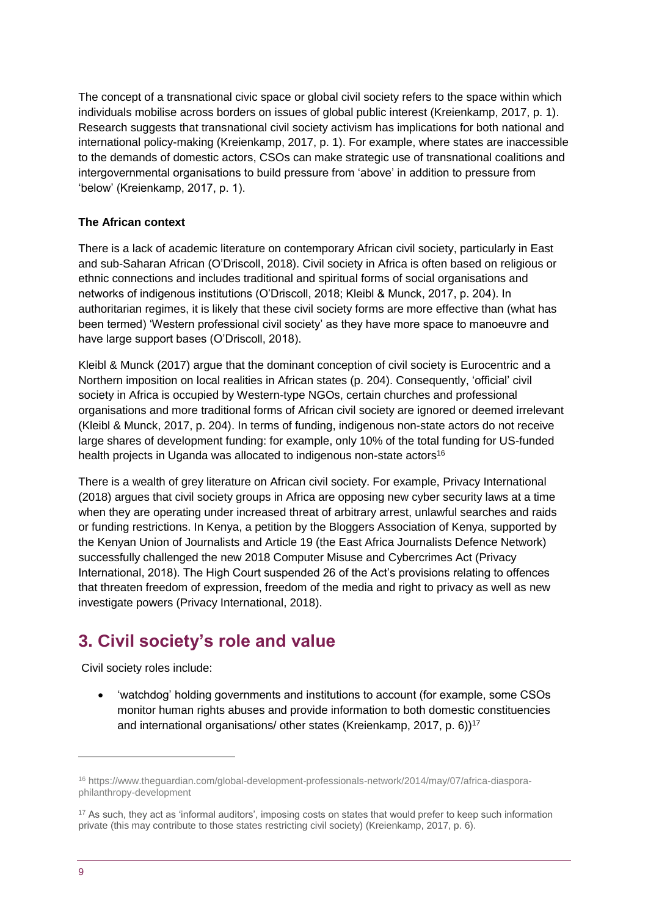The concept of a transnational civic space or global civil society refers to the space within which individuals mobilise across borders on issues of global public interest (Kreienkamp, 2017, p. 1). Research suggests that transnational civil society activism has implications for both national and international policy-making (Kreienkamp, 2017, p. 1). For example, where states are inaccessible to the demands of domestic actors, CSOs can make strategic use of transnational coalitions and intergovernmental organisations to build pressure from 'above' in addition to pressure from 'below' (Kreienkamp, 2017, p. 1).

#### **The African context**

There is a lack of academic literature on contemporary African civil society, particularly in East and sub-Saharan African (O'Driscoll, 2018). Civil society in Africa is often based on religious or ethnic connections and includes traditional and spiritual forms of social organisations and networks of indigenous institutions (O'Driscoll, 2018; Kleibl & Munck, 2017, p. 204). In authoritarian regimes, it is likely that these civil society forms are more effective than (what has been termed) 'Western professional civil society' as they have more space to manoeuvre and have large support bases (O'Driscoll, 2018).

Kleibl & Munck (2017) argue that the dominant conception of civil society is Eurocentric and a Northern imposition on local realities in African states (p. 204). Consequently, 'official' civil society in Africa is occupied by Western-type NGOs, certain churches and professional organisations and more traditional forms of African civil society are ignored or deemed irrelevant (Kleibl & Munck, 2017, p. 204). In terms of funding, indigenous non-state actors do not receive large shares of development funding: for example, only 10% of the total funding for US-funded health projects in Uganda was allocated to indigenous non-state actors<sup>16</sup>

There is a wealth of grey literature on African civil society. For example, Privacy International (2018) argues that civil society groups in Africa are opposing new cyber security laws at a time when they are operating under increased threat of arbitrary arrest, unlawful searches and raids or funding restrictions. In Kenya, a petition by the Bloggers Association of Kenya, supported by the Kenyan Union of Journalists and Article 19 (the East Africa Journalists Defence Network) successfully challenged the new 2018 Computer Misuse and Cybercrimes Act (Privacy International, 2018). The High Court suspended 26 of the Act's provisions relating to offences that threaten freedom of expression, freedom of the media and right to privacy as well as new investigate powers (Privacy International, 2018).

# <span id="page-8-0"></span>**3. Civil society's role and value**

Civil society roles include:

 'watchdog' holding governments and institutions to account (for example, some CSOs monitor human rights abuses and provide information to both domestic constituencies and international organisations/ other states (Kreienkamp, 2017, p. 6))<sup>17</sup>

<sup>16</sup> https://www.theguardian.com/global-development-professionals-network/2014/may/07/africa-diasporaphilanthropy-development

<sup>&</sup>lt;sup>17</sup> As such, they act as 'informal auditors', imposing costs on states that would prefer to keep such information private (this may contribute to those states restricting civil society) (Kreienkamp, 2017, p. 6).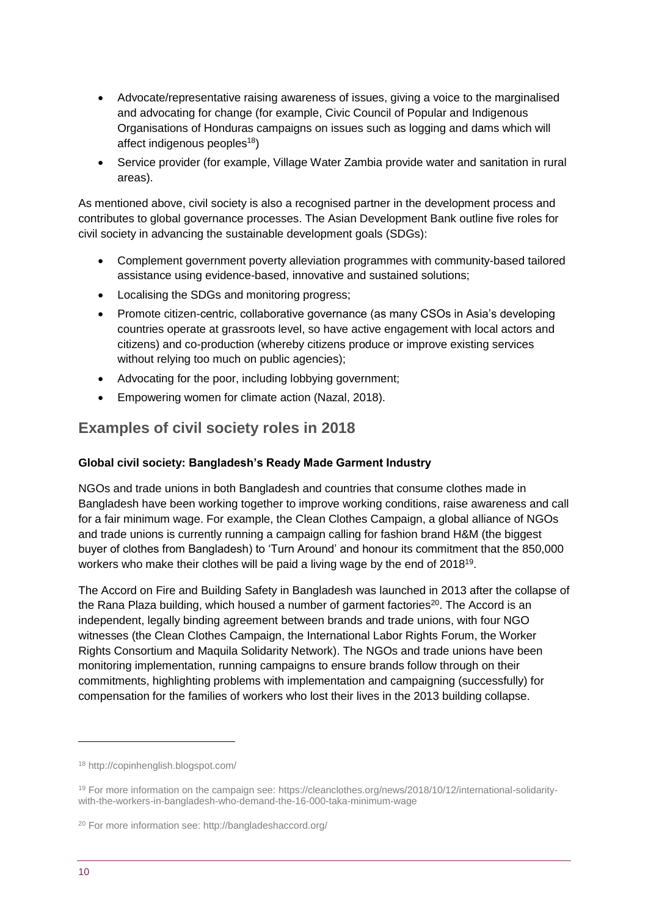- Advocate/representative raising awareness of issues, giving a voice to the marginalised and advocating for change (for example, Civic Council of Popular and Indigenous Organisations of Honduras campaigns on issues such as logging and dams which will affect indigenous peoples<sup>18</sup>)
- Service provider (for example, Village Water Zambia provide water and sanitation in rural areas).

As mentioned above, civil society is also a recognised partner in the development process and contributes to global governance processes. The Asian Development Bank outline five roles for civil society in advancing the sustainable development goals (SDGs):

- Complement government poverty alleviation programmes with community-based tailored assistance using evidence-based, innovative and sustained solutions;
- Localising the SDGs and monitoring progress;
- Promote citizen-centric, collaborative governance (as many CSOs in Asia's developing countries operate at grassroots level, so have active engagement with local actors and citizens) and co-production (whereby citizens produce or improve existing services without relying too much on public agencies);
- Advocating for the poor, including lobbying government;
- Empowering women for climate action (Nazal, 2018).

### **Examples of civil society roles in 2018**

#### **Global civil society: Bangladesh's Ready Made Garment Industry**

NGOs and trade unions in both Bangladesh and countries that consume clothes made in Bangladesh have been working together to improve working conditions, raise awareness and call for a fair minimum wage. For example, the Clean Clothes Campaign, a global alliance of NGOs and trade unions is currently running a campaign calling for fashion brand H&M (the biggest buyer of clothes from Bangladesh) to 'Turn Around' and honour its commitment that the 850,000 workers who make their clothes will be paid a living wage by the end of 2018<sup>19</sup>.

The Accord on Fire and Building Safety in Bangladesh was launched in 2013 after the collapse of the Rana Plaza building, which housed a number of garment factories<sup>20</sup>. The Accord is an independent, legally binding agreement between brands and trade unions, with four NGO witnesses (the Clean Clothes Campaign, the International Labor Rights Forum, the Worker Rights Consortium and Maquila Solidarity Network). The NGOs and trade unions have been monitoring implementation, running campaigns to ensure brands follow through on their commitments, highlighting problems with implementation and campaigning (successfully) for compensation for the families of workers who lost their lives in the 2013 building collapse.

<sup>18</sup> http://copinhenglish.blogspot.com/

<sup>19</sup> For more information on the campaign see: https://cleanclothes.org/news/2018/10/12/international-solidaritywith-the-workers-in-bangladesh-who-demand-the-16-000-taka-minimum-wage

<sup>20</sup> For more information see: http://bangladeshaccord.org/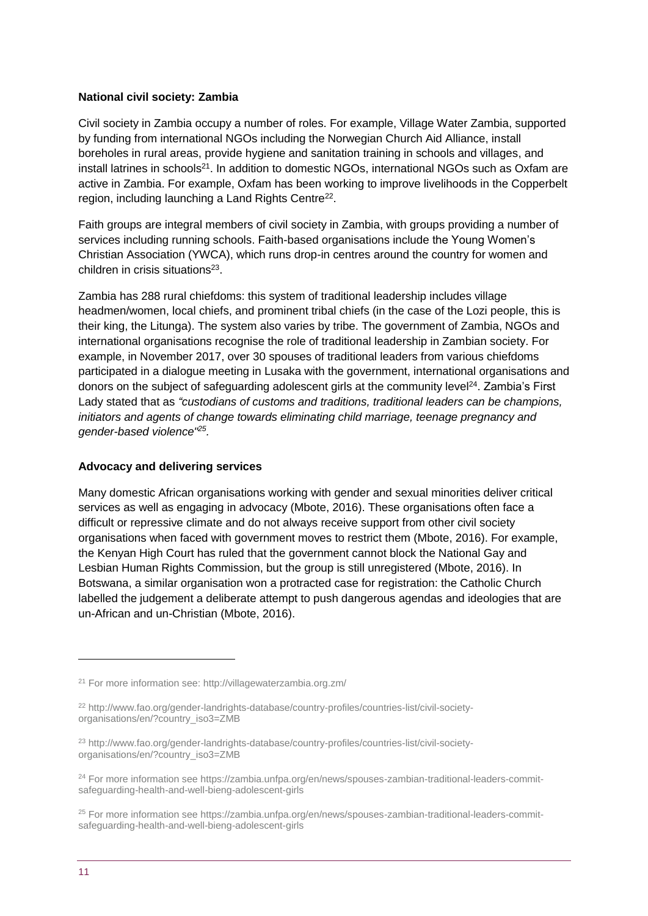#### **National civil society: Zambia**

Civil society in Zambia occupy a number of roles. For example, Village Water Zambia, supported by funding from international NGOs including the Norwegian Church Aid Alliance, install boreholes in rural areas, provide hygiene and sanitation training in schools and villages, and install latrines in schools<sup>21</sup>. In addition to domestic NGOs, international NGOs such as Oxfam are active in Zambia. For example, Oxfam has been working to improve livelihoods in the Copperbelt region, including launching a Land Rights Centre<sup>22</sup>.

Faith groups are integral members of civil society in Zambia, with groups providing a number of services including running schools. Faith-based organisations include the Young Women's Christian Association (YWCA), which runs drop-in centres around the country for women and children in crisis situations<sup>23</sup>.

Zambia has 288 rural chiefdoms: this system of traditional leadership includes village headmen/women, local chiefs, and prominent tribal chiefs (in the case of the Lozi people, this is their king, the Litunga). The system also varies by tribe. The government of Zambia, NGOs and international organisations recognise the role of traditional leadership in Zambian society. For example, in November 2017, over 30 spouses of traditional leaders from various chiefdoms participated in a dialogue meeting in Lusaka with the government, international organisations and donors on the subject of safeguarding adolescent girls at the community level<sup>24</sup>. Zambia's First Lady stated that as *"custodians of customs and traditions, traditional leaders can be champions, initiators and agents of change towards eliminating child marriage, teenage pregnancy and gender-based violence"<sup>25</sup> .*

#### **Advocacy and delivering services**

Many domestic African organisations working with gender and sexual minorities deliver critical services as well as engaging in advocacy (Mbote, 2016). These organisations often face a difficult or repressive climate and do not always receive support from other civil society organisations when faced with government moves to restrict them (Mbote, 2016). For example, the Kenyan High Court has ruled that the government cannot block the National Gay and Lesbian Human Rights Commission, but the group is still unregistered (Mbote, 2016). In Botswana, a similar organisation won a protracted case for registration: the Catholic Church labelled the judgement a deliberate attempt to push dangerous agendas and ideologies that are un-African and un-Christian (Mbote, 2016).

<sup>21</sup> For more information see: http://villagewaterzambia.org.zm/

<sup>22</sup> http://www.fao.org/gender-landrights-database/country-profiles/countries-list/civil-societyorganisations/en/?country\_iso3=ZMB

<sup>23</sup> http://www.fao.org/gender-landrights-database/country-profiles/countries-list/civil-societyorganisations/en/?country\_iso3=ZMB

<sup>24</sup> For more information see https://zambia.unfpa.org/en/news/spouses-zambian-traditional-leaders-commitsafeguarding-health-and-well-bieng-adolescent-girls

<sup>25</sup> For more information see https://zambia.unfpa.org/en/news/spouses-zambian-traditional-leaders-commitsafeguarding-health-and-well-bieng-adolescent-girls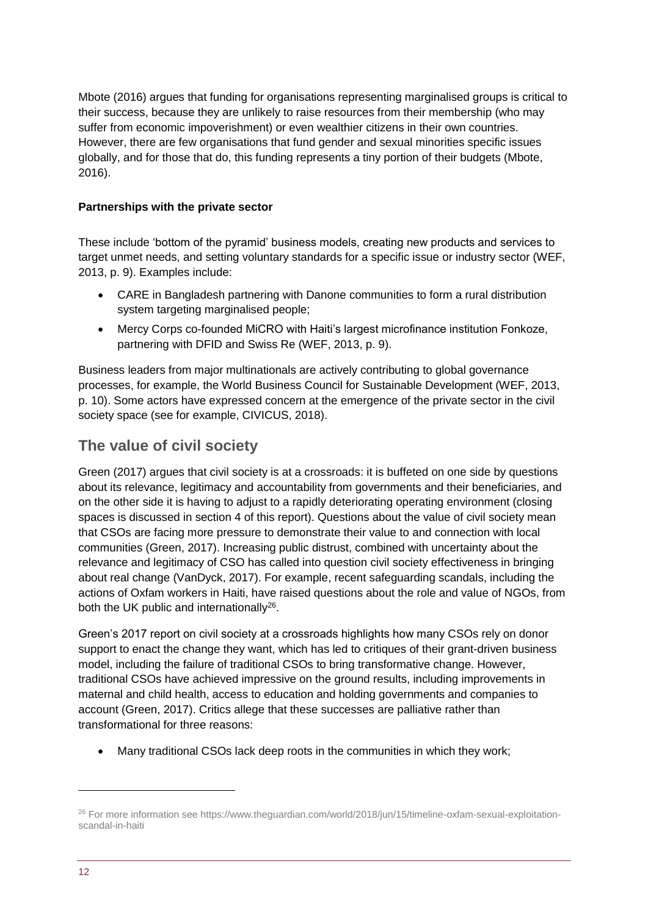Mbote (2016) argues that funding for organisations representing marginalised groups is critical to their success, because they are unlikely to raise resources from their membership (who may suffer from economic impoverishment) or even wealthier citizens in their own countries. However, there are few organisations that fund gender and sexual minorities specific issues globally, and for those that do, this funding represents a tiny portion of their budgets (Mbote, 2016).

#### **Partnerships with the private sector**

These include 'bottom of the pyramid' business models, creating new products and services to target unmet needs, and setting voluntary standards for a specific issue or industry sector (WEF, 2013, p. 9). Examples include:

- CARE in Bangladesh partnering with Danone communities to form a rural distribution system targeting marginalised people;
- Mercy Corps co-founded MiCRO with Haiti's largest microfinance institution Fonkoze, partnering with DFID and Swiss Re (WEF, 2013, p. 9).

Business leaders from major multinationals are actively contributing to global governance processes, for example, the World Business Council for Sustainable Development (WEF, 2013, p. 10). Some actors have expressed concern at the emergence of the private sector in the civil society space (see for example, CIVICUS, 2018).

### **The value of civil society**

Green (2017) argues that civil society is at a crossroads: it is buffeted on one side by questions about its relevance, legitimacy and accountability from governments and their beneficiaries, and on the other side it is having to adjust to a rapidly deteriorating operating environment (closing spaces is discussed in section 4 of this report). Questions about the value of civil society mean that CSOs are facing more pressure to demonstrate their value to and connection with local communities (Green, 2017). Increasing public distrust, combined with uncertainty about the relevance and legitimacy of CSO has called into question civil society effectiveness in bringing about real change (VanDyck, 2017). For example, recent safeguarding scandals, including the actions of Oxfam workers in Haiti, have raised questions about the role and value of NGOs, from both the UK public and internationally<sup>26</sup>.

Green's 2017 report on civil society at a crossroads highlights how many CSOs rely on donor support to enact the change they want, which has led to critiques of their grant-driven business model, including the failure of traditional CSOs to bring transformative change. However, traditional CSOs have achieved impressive on the ground results, including improvements in maternal and child health, access to education and holding governments and companies to account (Green, 2017). Critics allege that these successes are palliative rather than transformational for three reasons:

Many traditional CSOs lack deep roots in the communities in which they work;

<sup>26</sup> For more information see https://www.theguardian.com/world/2018/jun/15/timeline-oxfam-sexual-exploitationscandal-in-haiti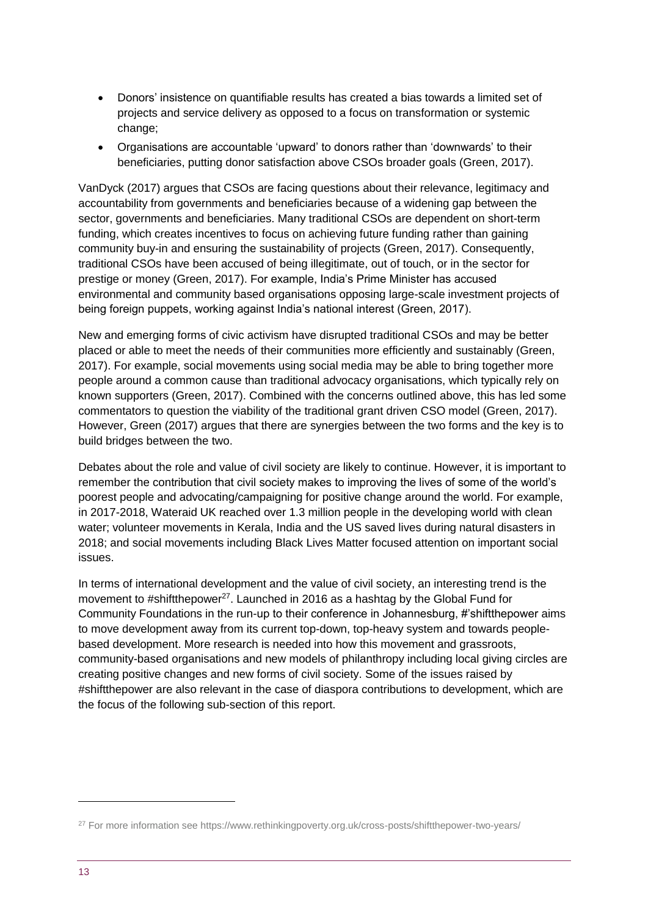- Donors' insistence on quantifiable results has created a bias towards a limited set of projects and service delivery as opposed to a focus on transformation or systemic change;
- Organisations are accountable 'upward' to donors rather than 'downwards' to their beneficiaries, putting donor satisfaction above CSOs broader goals (Green, 2017).

VanDyck (2017) argues that CSOs are facing questions about their relevance, legitimacy and accountability from governments and beneficiaries because of a widening gap between the sector, governments and beneficiaries. Many traditional CSOs are dependent on short-term funding, which creates incentives to focus on achieving future funding rather than gaining community buy-in and ensuring the sustainability of projects (Green, 2017). Consequently, traditional CSOs have been accused of being illegitimate, out of touch, or in the sector for prestige or money (Green, 2017). For example, India's Prime Minister has accused environmental and community based organisations opposing large-scale investment projects of being foreign puppets, working against India's national interest (Green, 2017).

New and emerging forms of civic activism have disrupted traditional CSOs and may be better placed or able to meet the needs of their communities more efficiently and sustainably (Green, 2017). For example, social movements using social media may be able to bring together more people around a common cause than traditional advocacy organisations, which typically rely on known supporters (Green, 2017). Combined with the concerns outlined above, this has led some commentators to question the viability of the traditional grant driven CSO model (Green, 2017). However, Green (2017) argues that there are synergies between the two forms and the key is to build bridges between the two.

Debates about the role and value of civil society are likely to continue. However, it is important to remember the contribution that civil society makes to improving the lives of some of the world's poorest people and advocating/campaigning for positive change around the world. For example, in 2017-2018, Wateraid UK reached over 1.3 million people in the developing world with clean water; volunteer movements in Kerala, India and the US saved lives during natural disasters in 2018; and social movements including Black Lives Matter focused attention on important social issues.

In terms of international development and the value of civil society, an interesting trend is the movement to #shiftthepower<sup>27</sup>. Launched in 2016 as a hashtag by the Global Fund for Community Foundations in the run-up to their conference in Johannesburg, #'shiftthepower aims to move development away from its current top-down, top-heavy system and towards peoplebased development. More research is needed into how this movement and grassroots, community-based organisations and new models of philanthropy including local giving circles are creating positive changes and new forms of civil society. Some of the issues raised by #shiftthepower are also relevant in the case of diaspora contributions to development, which are the focus of the following sub-section of this report.

<sup>&</sup>lt;sup>27</sup> For more information see https://www.rethinkingpoverty.org.uk/cross-posts/shiftthepower-two-years/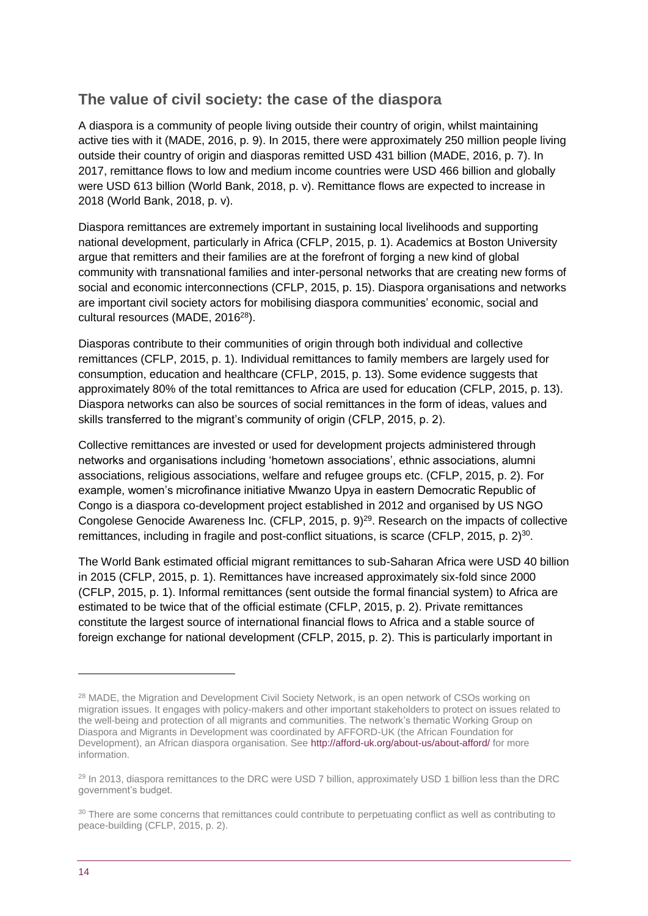### **The value of civil society: the case of the diaspora**

A diaspora is a community of people living outside their country of origin, whilst maintaining active ties with it (MADE, 2016, p. 9). In 2015, there were approximately 250 million people living outside their country of origin and diasporas remitted USD 431 billion (MADE, 2016, p. 7). In 2017, remittance flows to low and medium income countries were USD 466 billion and globally were USD 613 billion (World Bank, 2018, p. v). Remittance flows are expected to increase in 2018 (World Bank, 2018, p. v).

Diaspora remittances are extremely important in sustaining local livelihoods and supporting national development, particularly in Africa (CFLP, 2015, p. 1). Academics at Boston University argue that remitters and their families are at the forefront of forging a new kind of global community with transnational families and inter-personal networks that are creating new forms of social and economic interconnections (CFLP, 2015, p. 15). Diaspora organisations and networks are important civil society actors for mobilising diaspora communities' economic, social and cultural resources (MADE, 2016<sup>28</sup>).

Diasporas contribute to their communities of origin through both individual and collective remittances (CFLP, 2015, p. 1). Individual remittances to family members are largely used for consumption, education and healthcare (CFLP, 2015, p. 13). Some evidence suggests that approximately 80% of the total remittances to Africa are used for education (CFLP, 2015, p. 13). Diaspora networks can also be sources of social remittances in the form of ideas, values and skills transferred to the migrant's community of origin (CFLP, 2015, p. 2).

Collective remittances are invested or used for development projects administered through networks and organisations including 'hometown associations', ethnic associations, alumni associations, religious associations, welfare and refugee groups etc. (CFLP, 2015, p. 2). For example, women's microfinance initiative Mwanzo Upya in eastern Democratic Republic of Congo is a diaspora co-development project established in 2012 and organised by US NGO Congolese Genocide Awareness Inc. (CFLP, 2015, p.  $9)^{29}$ . Research on the impacts of collective remittances, including in fragile and post-conflict situations, is scarce (CFLP, 2015, p. 2)<sup>30</sup>.

The World Bank estimated official migrant remittances to sub-Saharan Africa were USD 40 billion in 2015 (CFLP, 2015, p. 1). Remittances have increased approximately six-fold since 2000 (CFLP, 2015, p. 1). Informal remittances (sent outside the formal financial system) to Africa are estimated to be twice that of the official estimate (CFLP, 2015, p. 2). Private remittances constitute the largest source of international financial flows to Africa and a stable source of foreign exchange for national development (CFLP, 2015, p. 2). This is particularly important in

<sup>&</sup>lt;sup>28</sup> MADE, the Migration and Development Civil Society Network, is an open network of CSOs working on migration issues. It engages with policy-makers and other important stakeholders to protect on issues related to the well-being and protection of all migrants and communities. The network's thematic Working Group on Diaspora and Migrants in Development was coordinated by AFFORD-UK (the African Foundation for Development), an African diaspora organisation. Se[e http://afford-uk.org/about-us/about-afford/](http://afford-uk.org/about-us/about-afford/) for more information.

<sup>&</sup>lt;sup>29</sup> In 2013, diaspora remittances to the DRC were USD 7 billion, approximately USD 1 billion less than the DRC government's budget.

<sup>&</sup>lt;sup>30</sup> There are some concerns that remittances could contribute to perpetuating conflict as well as contributing to peace-building (CFLP, 2015, p. 2).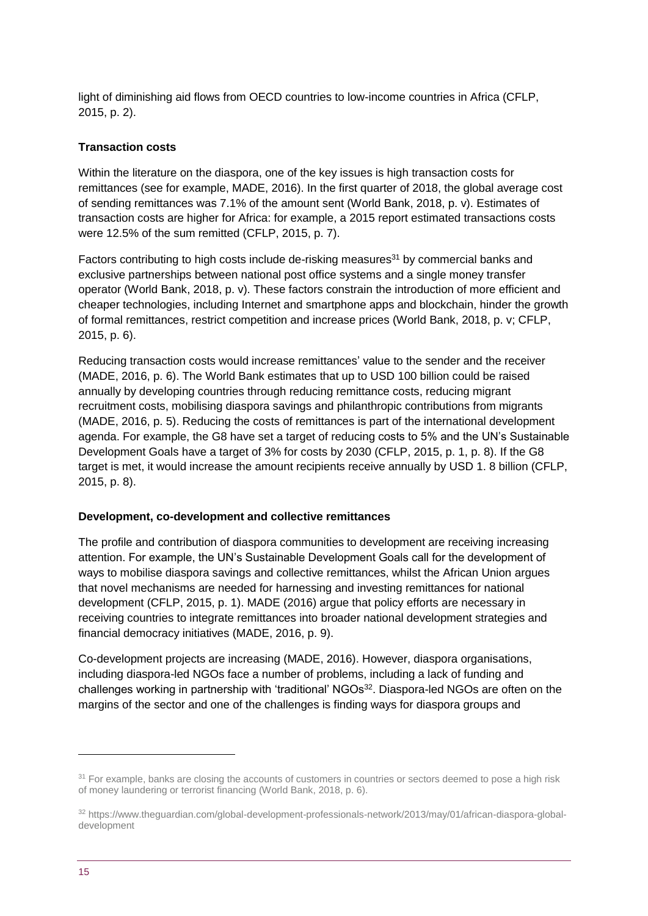light of diminishing aid flows from OECD countries to low-income countries in Africa (CFLP, 2015, p. 2).

#### **Transaction costs**

Within the literature on the diaspora, one of the key issues is high transaction costs for remittances (see for example, MADE, 2016). In the first quarter of 2018, the global average cost of sending remittances was 7.1% of the amount sent (World Bank, 2018, p. v). Estimates of transaction costs are higher for Africa: for example, a 2015 report estimated transactions costs were 12.5% of the sum remitted (CFLP, 2015, p. 7).

Factors contributing to high costs include de-risking measures $31$  by commercial banks and exclusive partnerships between national post office systems and a single money transfer operator (World Bank, 2018, p. v). These factors constrain the introduction of more efficient and cheaper technologies, including Internet and smartphone apps and blockchain, hinder the growth of formal remittances, restrict competition and increase prices (World Bank, 2018, p. v; CFLP, 2015, p. 6).

Reducing transaction costs would increase remittances' value to the sender and the receiver (MADE, 2016, p. 6). The World Bank estimates that up to USD 100 billion could be raised annually by developing countries through reducing remittance costs, reducing migrant recruitment costs, mobilising diaspora savings and philanthropic contributions from migrants (MADE, 2016, p. 5). Reducing the costs of remittances is part of the international development agenda. For example, the G8 have set a target of reducing costs to 5% and the UN's Sustainable Development Goals have a target of 3% for costs by 2030 (CFLP, 2015, p. 1, p. 8). If the G8 target is met, it would increase the amount recipients receive annually by USD 1. 8 billion (CFLP, 2015, p. 8).

#### **Development, co-development and collective remittances**

The profile and contribution of diaspora communities to development are receiving increasing attention. For example, the UN's Sustainable Development Goals call for the development of ways to mobilise diaspora savings and collective remittances, whilst the African Union argues that novel mechanisms are needed for harnessing and investing remittances for national development (CFLP, 2015, p. 1). MADE (2016) argue that policy efforts are necessary in receiving countries to integrate remittances into broader national development strategies and financial democracy initiatives (MADE, 2016, p. 9).

Co-development projects are increasing (MADE, 2016). However, diaspora organisations, including diaspora-led NGOs face a number of problems, including a lack of funding and challenges working in partnership with 'traditional' NGOs<sup>32</sup>. Diaspora-led NGOs are often on the margins of the sector and one of the challenges is finding ways for diaspora groups and

<sup>&</sup>lt;sup>31</sup> For example, banks are closing the accounts of customers in countries or sectors deemed to pose a high risk of money laundering or terrorist financing (World Bank, 2018, p. 6).

<sup>32</sup> https://www.theguardian.com/global-development-professionals-network/2013/may/01/african-diaspora-globaldevelopment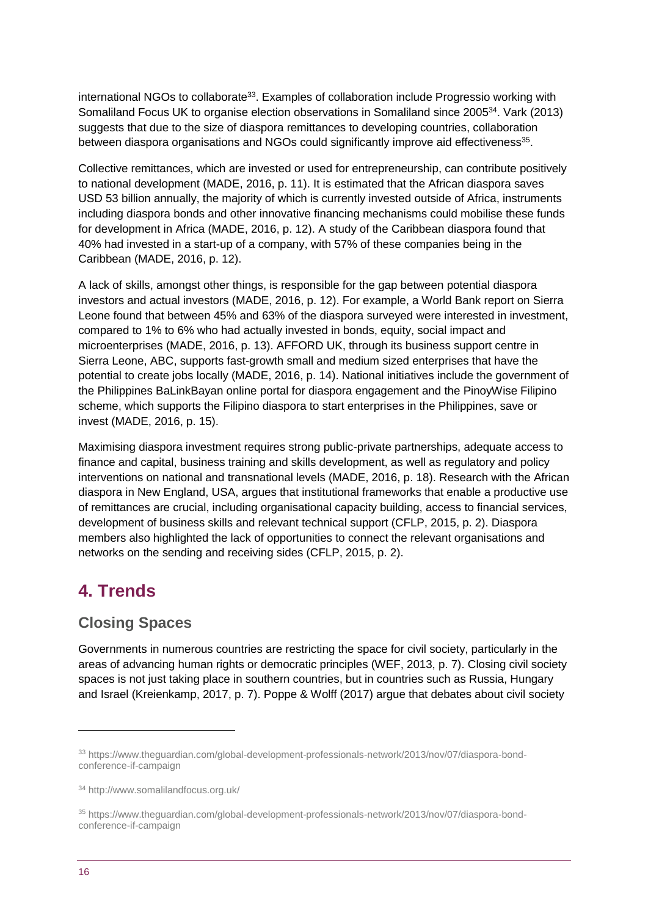international NGOs to collaborate<sup>33</sup>. Examples of collaboration include Progressio working with Somaliland Focus UK to organise election observations in Somaliland since 2005<sup>34</sup>. Vark (2013) suggests that due to the size of diaspora remittances to developing countries, collaboration between diaspora organisations and NGOs could significantly improve aid effectiveness<sup>35</sup>.

Collective remittances, which are invested or used for entrepreneurship, can contribute positively to national development (MADE, 2016, p. 11). It is estimated that the African diaspora saves USD 53 billion annually, the majority of which is currently invested outside of Africa, instruments including diaspora bonds and other innovative financing mechanisms could mobilise these funds for development in Africa (MADE, 2016, p. 12). A study of the Caribbean diaspora found that 40% had invested in a start-up of a company, with 57% of these companies being in the Caribbean (MADE, 2016, p. 12).

A lack of skills, amongst other things, is responsible for the gap between potential diaspora investors and actual investors (MADE, 2016, p. 12). For example, a World Bank report on Sierra Leone found that between 45% and 63% of the diaspora surveyed were interested in investment, compared to 1% to 6% who had actually invested in bonds, equity, social impact and microenterprises (MADE, 2016, p. 13). AFFORD UK, through its business support centre in Sierra Leone, ABC, supports fast-growth small and medium sized enterprises that have the potential to create jobs locally (MADE, 2016, p. 14). National initiatives include the government of the Philippines BaLinkBayan online portal for diaspora engagement and the PinoyWise Filipino scheme, which supports the Filipino diaspora to start enterprises in the Philippines, save or invest (MADE, 2016, p. 15).

Maximising diaspora investment requires strong public-private partnerships, adequate access to finance and capital, business training and skills development, as well as regulatory and policy interventions on national and transnational levels (MADE, 2016, p. 18). Research with the African diaspora in New England, USA, argues that institutional frameworks that enable a productive use of remittances are crucial, including organisational capacity building, access to financial services, development of business skills and relevant technical support (CFLP, 2015, p. 2). Diaspora members also highlighted the lack of opportunities to connect the relevant organisations and networks on the sending and receiving sides (CFLP, 2015, p. 2).

# <span id="page-15-0"></span>**4. Trends**

### **Closing Spaces**

Governments in numerous countries are restricting the space for civil society, particularly in the areas of advancing human rights or democratic principles (WEF, 2013, p. 7). Closing civil society spaces is not just taking place in southern countries, but in countries such as Russia, Hungary and Israel (Kreienkamp, 2017, p. 7). Poppe & Wolff (2017) argue that debates about civil society

<sup>33</sup> https://www.theguardian.com/global-development-professionals-network/2013/nov/07/diaspora-bondconference-if-campaign

<sup>34</sup> http://www.somalilandfocus.org.uk/

<sup>35</sup> https://www.theguardian.com/global-development-professionals-network/2013/nov/07/diaspora-bondconference-if-campaign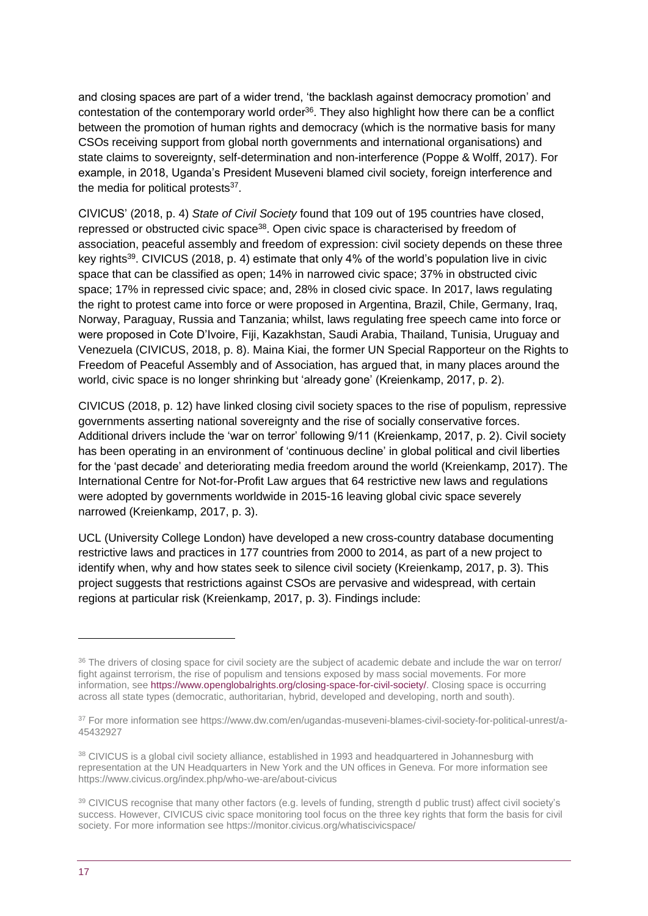and closing spaces are part of a wider trend, 'the backlash against democracy promotion' and contestation of the contemporary world order<sup>36</sup>. They also highlight how there can be a conflict between the promotion of human rights and democracy (which is the normative basis for many CSOs receiving support from global north governments and international organisations) and state claims to sovereignty, self-determination and non-interference (Poppe & Wolff, 2017). For example, in 2018, Uganda's President Museveni blamed civil society, foreign interference and the media for political protests<sup>37</sup>.

CIVICUS' (2018, p. 4) *State of Civil Society* found that 109 out of 195 countries have closed, repressed or obstructed civic space<sup>38</sup>. Open civic space is characterised by freedom of association, peaceful assembly and freedom of expression: civil society depends on these three key rights<sup>39</sup>. CIVICUS (2018, p. 4) estimate that only 4% of the world's population live in civic space that can be classified as open; 14% in narrowed civic space; 37% in obstructed civic space; 17% in repressed civic space; and, 28% in closed civic space. In 2017, laws regulating the right to protest came into force or were proposed in Argentina, Brazil, Chile, Germany, Iraq, Norway, Paraguay, Russia and Tanzania; whilst, laws regulating free speech came into force or were proposed in Cote D'Ivoire, Fiji, Kazakhstan, Saudi Arabia, Thailand, Tunisia, Uruguay and Venezuela (CIVICUS, 2018, p. 8). Maina Kiai, the former UN Special Rapporteur on the Rights to Freedom of Peaceful Assembly and of Association, has argued that, in many places around the world, civic space is no longer shrinking but 'already gone' (Kreienkamp, 2017, p. 2).

CIVICUS (2018, p. 12) have linked closing civil society spaces to the rise of populism, repressive governments asserting national sovereignty and the rise of socially conservative forces. Additional drivers include the 'war on terror' following 9/11 (Kreienkamp, 2017, p. 2). Civil society has been operating in an environment of 'continuous decline' in global political and civil liberties for the 'past decade' and deteriorating media freedom around the world (Kreienkamp, 2017). The International Centre for Not-for-Profit Law argues that 64 restrictive new laws and regulations were adopted by governments worldwide in 2015-16 leaving global civic space severely narrowed (Kreienkamp, 2017, p. 3).

UCL (University College London) have developed a new cross-country database documenting restrictive laws and practices in 177 countries from 2000 to 2014, as part of a new project to identify when, why and how states seek to silence civil society (Kreienkamp, 2017, p. 3). This project suggests that restrictions against CSOs are pervasive and widespread, with certain regions at particular risk (Kreienkamp, 2017, p. 3). Findings include:

<sup>&</sup>lt;sup>36</sup> The drivers of closing space for civil society are the subject of academic debate and include the war on terror/ fight against terrorism, the rise of populism and tensions exposed by mass social movements. For more information, se[e https://www.openglobalrights.org/closing-space-for-civil-society/.](https://www.openglobalrights.org/closing-space-for-civil-society/) Closing space is occurring across all state types (democratic, authoritarian, hybrid, developed and developing, north and south).

<sup>37</sup> For more information see https://www.dw.com/en/ugandas-museveni-blames-civil-society-for-political-unrest/a-45432927

<sup>38</sup> CIVICUS is a global civil society alliance, established in 1993 and headquartered in Johannesburg with representation at the UN Headquarters in New York and the UN offices in Geneva. For more information see https://www.civicus.org/index.php/who-we-are/about-civicus

<sup>39</sup> CIVICUS recognise that many other factors (e.g. levels of funding, strength d public trust) affect civil society's success. However, CIVICUS civic space monitoring tool focus on the three key rights that form the basis for civil society. For more information see https://monitor.civicus.org/whatiscivicspace/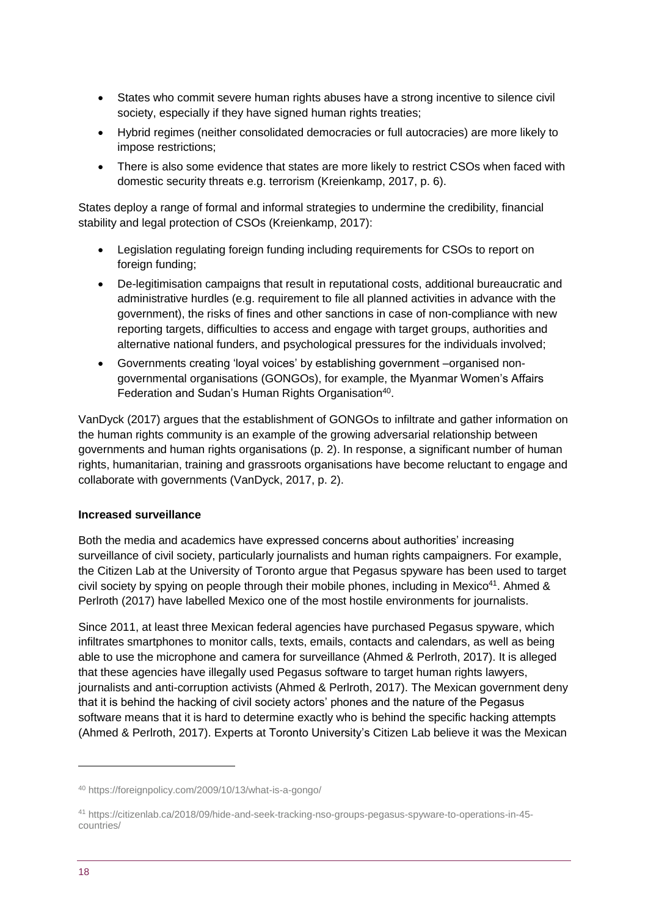- States who commit severe human rights abuses have a strong incentive to silence civil society, especially if they have signed human rights treaties;
- Hybrid regimes (neither consolidated democracies or full autocracies) are more likely to impose restrictions;
- There is also some evidence that states are more likely to restrict CSOs when faced with domestic security threats e.g. terrorism (Kreienkamp, 2017, p. 6).

States deploy a range of formal and informal strategies to undermine the credibility, financial stability and legal protection of CSOs (Kreienkamp, 2017):

- Legislation regulating foreign funding including requirements for CSOs to report on foreign funding;
- De-legitimisation campaigns that result in reputational costs, additional bureaucratic and administrative hurdles (e.g. requirement to file all planned activities in advance with the government), the risks of fines and other sanctions in case of non-compliance with new reporting targets, difficulties to access and engage with target groups, authorities and alternative national funders, and psychological pressures for the individuals involved;
- Governments creating 'loyal voices' by establishing government –organised nongovernmental organisations (GONGOs), for example, the Myanmar Women's Affairs Federation and Sudan's Human Rights Organisation<sup>40</sup>.

VanDyck (2017) argues that the establishment of GONGOs to infiltrate and gather information on the human rights community is an example of the growing adversarial relationship between governments and human rights organisations (p. 2). In response, a significant number of human rights, humanitarian, training and grassroots organisations have become reluctant to engage and collaborate with governments (VanDyck, 2017, p. 2).

#### **Increased surveillance**

Both the media and academics have expressed concerns about authorities' increasing surveillance of civil society, particularly journalists and human rights campaigners. For example, the Citizen Lab at the University of Toronto argue that Pegasus spyware has been used to target civil society by spying on people through their mobile phones, including in Mexico<sup>41</sup>. Ahmed & Perlroth (2017) have labelled Mexico one of the most hostile environments for journalists.

Since 2011, at least three Mexican federal agencies have purchased Pegasus spyware, which infiltrates smartphones to monitor calls, texts, emails, contacts and calendars, as well as being able to use the microphone and camera for surveillance (Ahmed & Perlroth, 2017). It is alleged that these agencies have illegally used Pegasus software to target human rights lawyers, journalists and anti-corruption activists (Ahmed & Perlroth, 2017). The Mexican government deny that it is behind the hacking of civil society actors' phones and the nature of the Pegasus software means that it is hard to determine exactly who is behind the specific hacking attempts (Ahmed & Perlroth, 2017). Experts at Toronto University's Citizen Lab believe it was the Mexican

<sup>40</sup> https://foreignpolicy.com/2009/10/13/what-is-a-gongo/

<sup>41</sup> https://citizenlab.ca/2018/09/hide-and-seek-tracking-nso-groups-pegasus-spyware-to-operations-in-45 countries/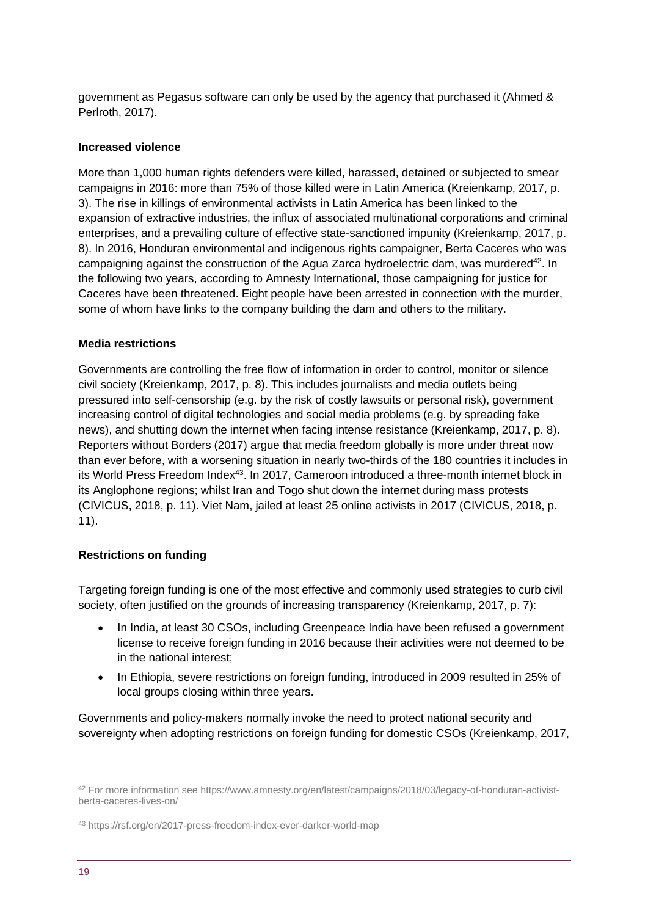government as Pegasus software can only be used by the agency that purchased it (Ahmed & Perlroth, 2017).

#### **Increased violence**

More than 1,000 human rights defenders were killed, harassed, detained or subjected to smear campaigns in 2016: more than 75% of those killed were in Latin America (Kreienkamp, 2017, p. 3). The rise in killings of environmental activists in Latin America has been linked to the expansion of extractive industries, the influx of associated multinational corporations and criminal enterprises, and a prevailing culture of effective state-sanctioned impunity (Kreienkamp, 2017, p. 8). In 2016, Honduran environmental and indigenous rights campaigner, Berta Caceres who was campaigning against the construction of the Agua Zarca hydroelectric dam, was murdered<sup>42</sup>. In the following two years, according to Amnesty International, those campaigning for justice for Caceres have been threatened. Eight people have been arrested in connection with the murder, some of whom have links to the company building the dam and others to the military.

#### **Media restrictions**

Governments are controlling the free flow of information in order to control, monitor or silence civil society (Kreienkamp, 2017, p. 8). This includes journalists and media outlets being pressured into self-censorship (e.g. by the risk of costly lawsuits or personal risk), government increasing control of digital technologies and social media problems (e.g. by spreading fake news), and shutting down the internet when facing intense resistance (Kreienkamp, 2017, p. 8). Reporters without Borders (2017) argue that media freedom globally is more under threat now than ever before, with a worsening situation in nearly two-thirds of the 180 countries it includes in its World Press Freedom Index<sup>43</sup>. In 2017, Cameroon introduced a three-month internet block in its Anglophone regions; whilst Iran and Togo shut down the internet during mass protests (CIVICUS, 2018, p. 11). Viet Nam, jailed at least 25 online activists in 2017 (CIVICUS, 2018, p. 11).

#### **Restrictions on funding**

Targeting foreign funding is one of the most effective and commonly used strategies to curb civil society, often justified on the grounds of increasing transparency (Kreienkamp, 2017, p. 7):

- In India, at least 30 CSOs, including Greenpeace India have been refused a government license to receive foreign funding in 2016 because their activities were not deemed to be in the national interest;
- In Ethiopia, severe restrictions on foreign funding, introduced in 2009 resulted in 25% of local groups closing within three years.

Governments and policy-makers normally invoke the need to protect national security and sovereignty when adopting restrictions on foreign funding for domestic CSOs (Kreienkamp, 2017,

<sup>42</sup> For more information see https://www.amnesty.org/en/latest/campaigns/2018/03/legacy-of-honduran-activistberta-caceres-lives-on/

<sup>43</sup> https://rsf.org/en/2017-press-freedom-index-ever-darker-world-map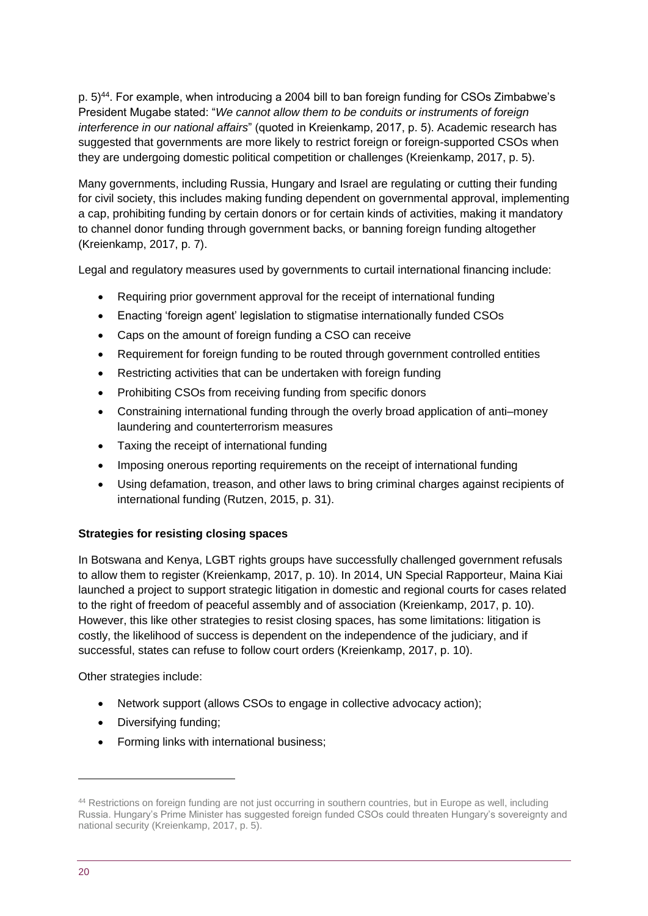p. 5)<sup>44</sup>. For example, when introducing a 2004 bill to ban foreign funding for CSOs Zimbabwe's President Mugabe stated: "*We cannot allow them to be conduits or instruments of foreign interference in our national affairs*" (quoted in Kreienkamp, 2017, p. 5). Academic research has suggested that governments are more likely to restrict foreign or foreign-supported CSOs when they are undergoing domestic political competition or challenges (Kreienkamp, 2017, p. 5).

Many governments, including Russia, Hungary and Israel are regulating or cutting their funding for civil society, this includes making funding dependent on governmental approval, implementing a cap, prohibiting funding by certain donors or for certain kinds of activities, making it mandatory to channel donor funding through government backs, or banning foreign funding altogether (Kreienkamp, 2017, p. 7).

Legal and regulatory measures used by governments to curtail international financing include:

- Requiring prior government approval for the receipt of international funding
- Enacting 'foreign agent' legislation to stigmatise internationally funded CSOs
- Caps on the amount of foreign funding a CSO can receive
- Requirement for foreign funding to be routed through government controlled entities
- Restricting activities that can be undertaken with foreign funding
- Prohibiting CSOs from receiving funding from specific donors
- Constraining international funding through the overly broad application of anti–money laundering and counterterrorism measures
- Taxing the receipt of international funding
- Imposing onerous reporting requirements on the receipt of international funding
- Using defamation, treason, and other laws to bring criminal charges against recipients of international funding (Rutzen, 2015, p. 31).

#### **Strategies for resisting closing spaces**

In Botswana and Kenya, LGBT rights groups have successfully challenged government refusals to allow them to register (Kreienkamp, 2017, p. 10). In 2014, UN Special Rapporteur, Maina Kiai launched a project to support strategic litigation in domestic and regional courts for cases related to the right of freedom of peaceful assembly and of association (Kreienkamp, 2017, p. 10). However, this like other strategies to resist closing spaces, has some limitations: litigation is costly, the likelihood of success is dependent on the independence of the judiciary, and if successful, states can refuse to follow court orders (Kreienkamp, 2017, p. 10).

Other strategies include:

- Network support (allows CSOs to engage in collective advocacy action);
- Diversifying funding;
- Forming links with international business;

<sup>44</sup> Restrictions on foreign funding are not just occurring in southern countries, but in Europe as well, including Russia. Hungary's Prime Minister has suggested foreign funded CSOs could threaten Hungary's sovereignty and national security (Kreienkamp, 2017, p. 5).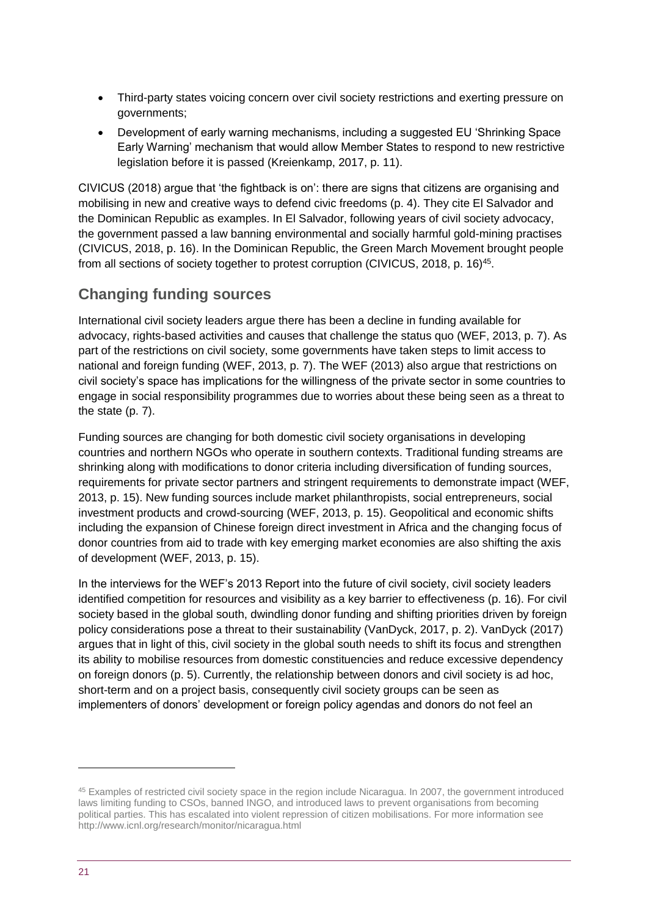- Third-party states voicing concern over civil society restrictions and exerting pressure on governments;
- Development of early warning mechanisms, including a suggested EU 'Shrinking Space Early Warning' mechanism that would allow Member States to respond to new restrictive legislation before it is passed (Kreienkamp, 2017, p. 11).

CIVICUS (2018) argue that 'the fightback is on': there are signs that citizens are organising and mobilising in new and creative ways to defend civic freedoms (p. 4). They cite El Salvador and the Dominican Republic as examples. In El Salvador, following years of civil society advocacy, the government passed a law banning environmental and socially harmful gold-mining practises (CIVICUS, 2018, p. 16). In the Dominican Republic, the Green March Movement brought people from all sections of society together to protest corruption (CIVICUS, 2018, p. 16)<sup>45</sup>.

### **Changing funding sources**

International civil society leaders argue there has been a decline in funding available for advocacy, rights-based activities and causes that challenge the status quo (WEF, 2013, p. 7). As part of the restrictions on civil society, some governments have taken steps to limit access to national and foreign funding (WEF, 2013, p. 7). The WEF (2013) also argue that restrictions on civil society's space has implications for the willingness of the private sector in some countries to engage in social responsibility programmes due to worries about these being seen as a threat to the state (p. 7).

Funding sources are changing for both domestic civil society organisations in developing countries and northern NGOs who operate in southern contexts. Traditional funding streams are shrinking along with modifications to donor criteria including diversification of funding sources, requirements for private sector partners and stringent requirements to demonstrate impact (WEF, 2013, p. 15). New funding sources include market philanthropists, social entrepreneurs, social investment products and crowd-sourcing (WEF, 2013, p. 15). Geopolitical and economic shifts including the expansion of Chinese foreign direct investment in Africa and the changing focus of donor countries from aid to trade with key emerging market economies are also shifting the axis of development (WEF, 2013, p. 15).

In the interviews for the WEF's 2013 Report into the future of civil society, civil society leaders identified competition for resources and visibility as a key barrier to effectiveness (p. 16). For civil society based in the global south, dwindling donor funding and shifting priorities driven by foreign policy considerations pose a threat to their sustainability (VanDyck, 2017, p. 2). VanDyck (2017) argues that in light of this, civil society in the global south needs to shift its focus and strengthen its ability to mobilise resources from domestic constituencies and reduce excessive dependency on foreign donors (p. 5). Currently, the relationship between donors and civil society is ad hoc, short-term and on a project basis, consequently civil society groups can be seen as implementers of donors' development or foreign policy agendas and donors do not feel an

<sup>45</sup> Examples of restricted civil society space in the region include Nicaragua. In 2007, the government introduced laws limiting funding to CSOs, banned INGO, and introduced laws to prevent organisations from becoming political parties. This has escalated into violent repression of citizen mobilisations. For more information see http://www.icnl.org/research/monitor/nicaragua.html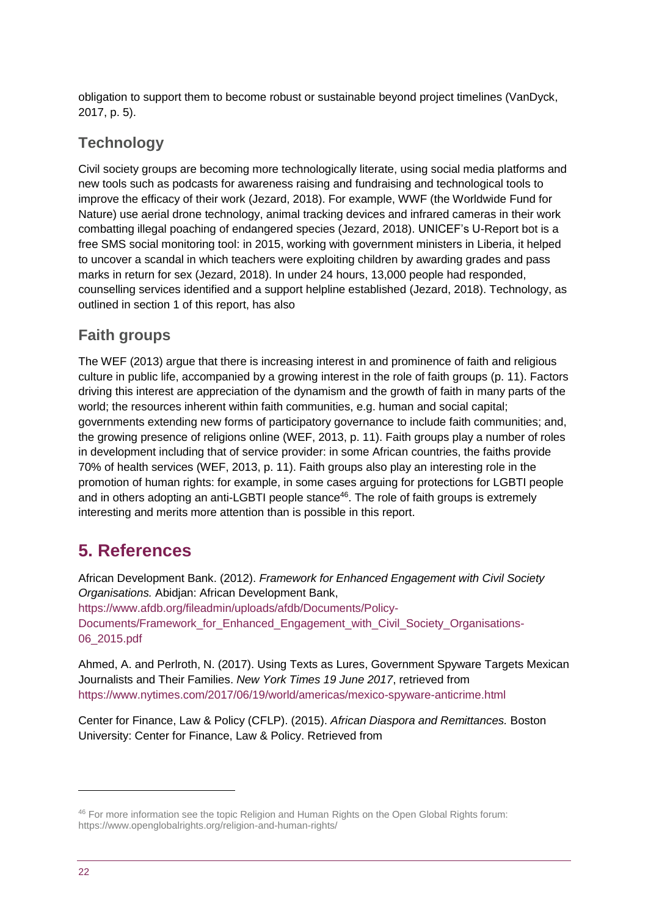obligation to support them to become robust or sustainable beyond project timelines (VanDyck, 2017, p. 5).

### **Technology**

Civil society groups are becoming more technologically literate, using social media platforms and new tools such as podcasts for awareness raising and fundraising and technological tools to improve the efficacy of their work (Jezard, 2018). For example, WWF (the Worldwide Fund for Nature) use aerial drone technology, animal tracking devices and infrared cameras in their work combatting illegal poaching of endangered species (Jezard, 2018). UNICEF's U-Report bot is a free SMS social monitoring tool: in 2015, working with government ministers in Liberia, it helped to uncover a scandal in which teachers were exploiting children by awarding grades and pass marks in return for sex (Jezard, 2018). In under 24 hours, 13,000 people had responded, counselling services identified and a support helpline established (Jezard, 2018). Technology, as outlined in section 1 of this report, has also

### **Faith groups**

The WEF (2013) argue that there is increasing interest in and prominence of faith and religious culture in public life, accompanied by a growing interest in the role of faith groups (p. 11). Factors driving this interest are appreciation of the dynamism and the growth of faith in many parts of the world; the resources inherent within faith communities, e.g. human and social capital; governments extending new forms of participatory governance to include faith communities; and, the growing presence of religions online (WEF, 2013, p. 11). Faith groups play a number of roles in development including that of service provider: in some African countries, the faiths provide 70% of health services (WEF, 2013, p. 11). Faith groups also play an interesting role in the promotion of human rights: for example, in some cases arguing for protections for LGBTI people and in others adopting an anti-LGBTI people stance<sup>46</sup>. The role of faith groups is extremely interesting and merits more attention than is possible in this report.

## <span id="page-21-0"></span>**5. References**

African Development Bank. (2012). *Framework for Enhanced Engagement with Civil Society Organisations.* Abidjan: African Development Bank, [https://www.afdb.org/fileadmin/uploads/afdb/Documents/Policy-](https://www.afdb.org/fileadmin/uploads/afdb/Documents/Policy-Documents/Framework_for_Enhanced_Engagement_with_Civil_Society_Organizations-06_2015.pdf)[Documents/Framework\\_for\\_Enhanced\\_Engagement\\_with\\_Civil\\_Society\\_Organisations-](https://www.afdb.org/fileadmin/uploads/afdb/Documents/Policy-Documents/Framework_for_Enhanced_Engagement_with_Civil_Society_Organizations-06_2015.pdf)[06\\_2015.pdf](https://www.afdb.org/fileadmin/uploads/afdb/Documents/Policy-Documents/Framework_for_Enhanced_Engagement_with_Civil_Society_Organizations-06_2015.pdf)

Ahmed, A. and Perlroth, N. (2017). Using Texts as Lures, Government Spyware Targets Mexican Journalists and Their Families. *New York Times 19 June 2017*, retrieved from <https://www.nytimes.com/2017/06/19/world/americas/mexico-spyware-anticrime.html>

Center for Finance, Law & Policy (CFLP). (2015). *African Diaspora and Remittances.* Boston University: Center for Finance, Law & Policy. Retrieved from

<sup>46</sup> For more information see the topic Religion and Human Rights on the Open Global Rights forum: https://www.openglobalrights.org/religion-and-human-rights/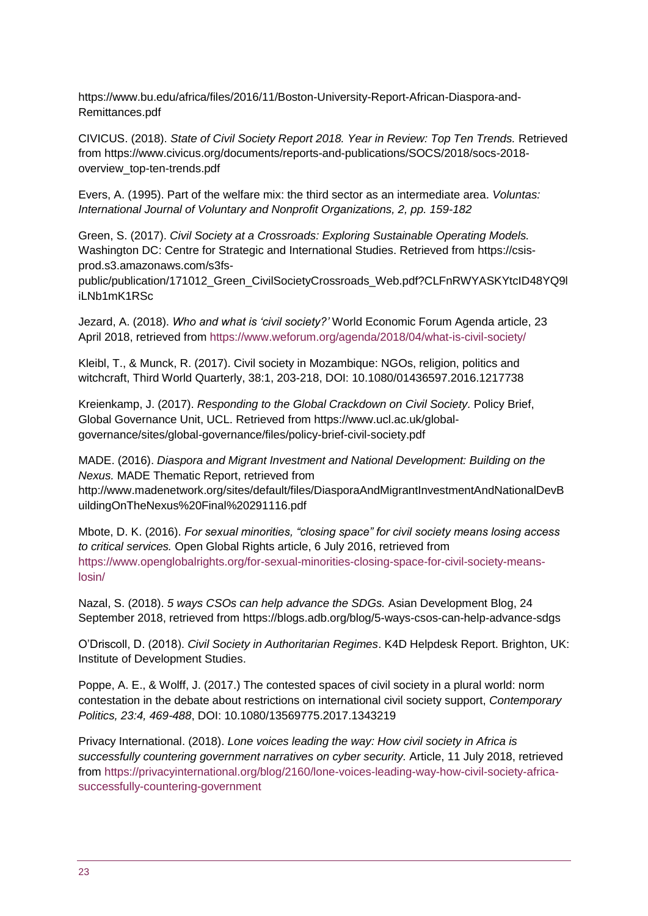https://www.bu.edu/africa/files/2016/11/Boston-University-Report-African-Diaspora-and-Remittances.pdf

CIVICUS. (2018). *State of Civil Society Report 2018. Year in Review: Top Ten Trends.* Retrieved from https://www.civicus.org/documents/reports-and-publications/SOCS/2018/socs-2018 overview\_top-ten-trends.pdf

Evers, A. (1995). Part of the welfare mix: the third sector as an intermediate area. *Voluntas: International Journal of Voluntary and Nonprofit Organizations, 2, pp. 159-182*

Green, S. (2017). *Civil Society at a Crossroads: Exploring Sustainable Operating Models.*  Washington DC: Centre for Strategic and International Studies. Retrieved from https://csisprod.s3.amazonaws.com/s3fs-

public/publication/171012\_Green\_CivilSocietyCrossroads\_Web.pdf?CLFnRWYASKYtcID48YQ9l iLNb1mK1RSc

Jezard, A. (2018). *Who and what is 'civil society?'* World Economic Forum Agenda article, 23 April 2018, retrieved from<https://www.weforum.org/agenda/2018/04/what-is-civil-society/>

Kleibl, T., & Munck, R. (2017). Civil society in Mozambique: NGOs, religion, politics and witchcraft, Third World Quarterly, 38:1, 203-218, DOI: 10.1080/01436597.2016.1217738

Kreienkamp, J. (2017). *Responding to the Global Crackdown on Civil Society.* Policy Brief, Global Governance Unit, UCL. Retrieved from https://www.ucl.ac.uk/globalgovernance/sites/global-governance/files/policy-brief-civil-society.pdf

MADE. (2016). *Diaspora and Migrant Investment and National Development: Building on the Nexus.* MADE Thematic Report, retrieved from

http://www.madenetwork.org/sites/default/files/DiasporaAndMigrantInvestmentAndNationalDevB uildingOnTheNexus%20Final%20291116.pdf

Mbote, D. K. (2016). *For sexual minorities, "closing space" for civil society means losing access to critical services.* Open Global Rights article, 6 July 2016, retrieved from [https://www.openglobalrights.org/for-sexual-minorities-closing-space-for-civil-society-means](https://www.openglobalrights.org/for-sexual-minorities-closing-space-for-civil-society-means-losin/)[losin/](https://www.openglobalrights.org/for-sexual-minorities-closing-space-for-civil-society-means-losin/)

Nazal, S. (2018). *5 ways CSOs can help advance the SDGs.* Asian Development Blog, 24 September 2018, retrieved from https://blogs.adb.org/blog/5-ways-csos-can-help-advance-sdgs

O'Driscoll, D. (2018). *Civil Society in Authoritarian Regimes*. K4D Helpdesk Report. Brighton, UK: Institute of Development Studies.

Poppe, A. E., & Wolff, J. (2017.) The contested spaces of civil society in a plural world: norm contestation in the debate about restrictions on international civil society support, *Contemporary Politics, 23:4, 469-488*, DOI: 10.1080/13569775.2017.1343219

Privacy International. (2018). *Lone voices leading the way: How civil society in Africa is successfully countering government narratives on cyber security.* Article, 11 July 2018, retrieved from [https://privacyinternational.org/blog/2160/lone-voices-leading-way-how-civil-society-africa](https://privacyinternational.org/blog/2160/lone-voices-leading-way-how-civil-society-africa-successfully-countering-government)[successfully-countering-government](https://privacyinternational.org/blog/2160/lone-voices-leading-way-how-civil-society-africa-successfully-countering-government)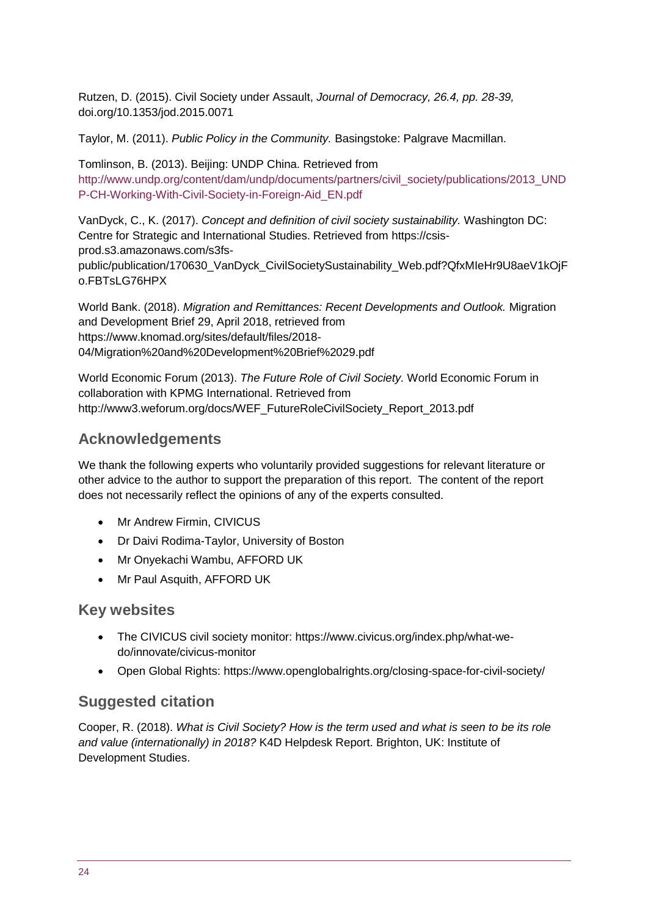Rutzen, D. (2015). Civil Society under Assault, *Journal of Democracy, 26.4, pp. 28-39,*  doi.org/10.1353/jod.2015.0071

Taylor, M. (2011). *Public Policy in the Community.* Basingstoke: Palgrave Macmillan.

Tomlinson, B. (2013). Beijing: UNDP China. Retrieved from [http://www.undp.org/content/dam/undp/documents/partners/civil\\_society/publications/2013\\_UND](http://www.undp.org/content/dam/undp/documents/partners/civil_society/publications/2013_UNDP-CH-Working-With-Civil-Society-in-Foreign-Aid_EN.pdf) [P-CH-Working-With-Civil-Society-in-Foreign-Aid\\_EN.pdf](http://www.undp.org/content/dam/undp/documents/partners/civil_society/publications/2013_UNDP-CH-Working-With-Civil-Society-in-Foreign-Aid_EN.pdf)

VanDyck, C., K. (2017). *Concept and definition of civil society sustainability.* Washington DC: Centre for Strategic and International Studies. Retrieved from https://csisprod.s3.amazonaws.com/s3fspublic/publication/170630\_VanDyck\_CivilSocietySustainability\_Web.pdf?QfxMIeHr9U8aeV1kOjF o.FBTsLG76HPX

World Bank. (2018). *Migration and Remittances: Recent Developments and Outlook.* Migration and Development Brief 29, April 2018, retrieved from https://www.knomad.org/sites/default/files/2018- 04/Migration%20and%20Development%20Brief%2029.pdf

World Economic Forum (2013). *The Future Role of Civil Society.* World Economic Forum in collaboration with KPMG International. Retrieved from http://www3.weforum.org/docs/WEF\_FutureRoleCivilSociety\_Report\_2013.pdf

### **Acknowledgements**

We thank the following experts who voluntarily provided suggestions for relevant literature or other advice to the author to support the preparation of this report. The content of the report does not necessarily reflect the opinions of any of the experts consulted.

- Mr Andrew Firmin, CIVICUS
- Dr Daivi Rodima-Taylor, University of Boston
- Mr Onyekachi Wambu, AFFORD UK
- Mr Paul Asquith, AFFORD UK

#### **Key websites**

- The CIVICUS civil society monitor: https://www.civicus.org/index.php/what-wedo/innovate/civicus-monitor
- Open Global Rights: https://www.openglobalrights.org/closing-space-for-civil-society/

#### **Suggested citation**

Cooper, R. (2018). *What is Civil Society? How is the term used and what is seen to be its role and value (internationally) in 2018?* K4D Helpdesk Report. Brighton, UK: Institute of Development Studies.